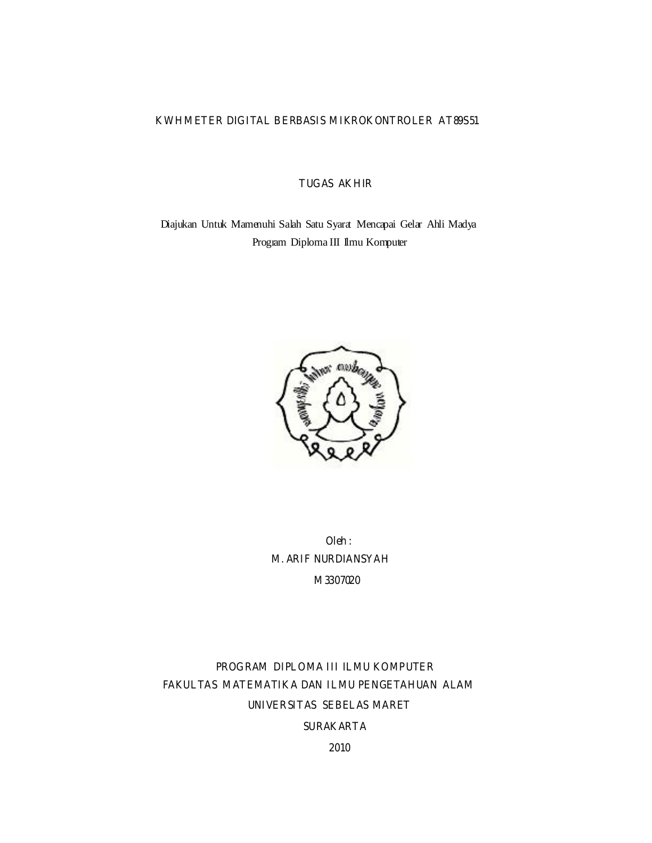# **KWH METER DIGITAL BERBASIS MIKROKONTROLER AT89S51**

# **TUGAS AKHIR**

Diajukan Untuk Mamenuhi Salah Satu Syarat Mencapai Gelar Ahli Madya Program Diploma III Ilmu Komputer



**Oleh : M. ARIF NURDIANSYAH M3307020** 

# **PROGRAM DIPLOMA III ILMU KOMPUTER FAKULTAS MATEMATIKA DAN ILMU PENGETAHUAN ALAM UNIVERSITAS SEBELAS MARET**

# **SURAKARTA**

**2010**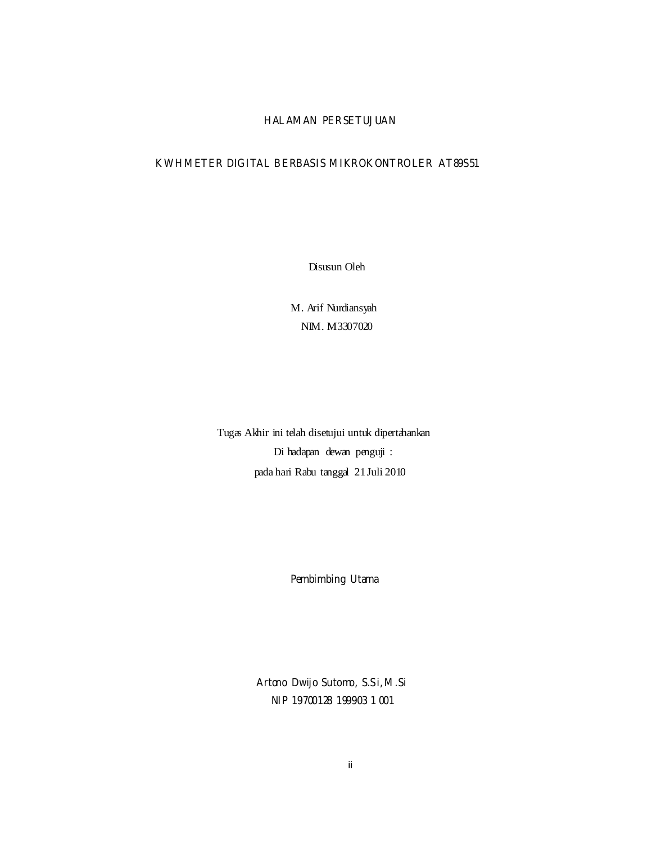## **HALAMAN PERSETUJUAN**

## **KWH METER DIGITAL BERBASIS MIKROKONTROLER AT89S51**

Disusun Oleh

M. Arif Nurdiansyah NIM. M3307020

Tugas Akhir ini telah disetujui untuk dipertahankan Di hadapan dewan penguji : pada hari Rabu tanggal 21 Juli 2010

**Pembimbing Utama** 

**Artono Dwijo Sutomo, S.Si, M.Si NIP 19700128 199903 1 001**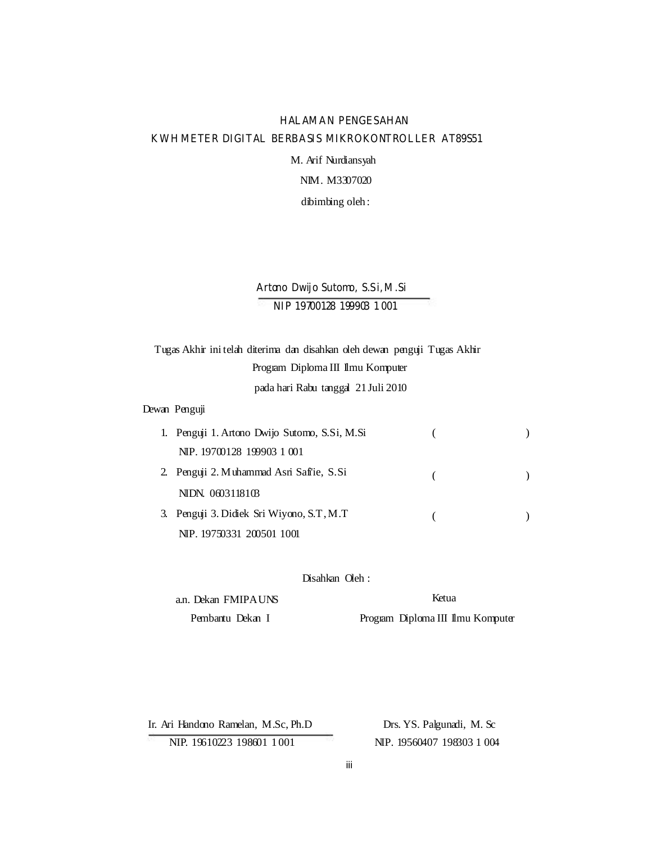# **HALAMAN PENGESAHAN KWH METER DIGITAL BERBASIS MIKROKONTROLLER AT89S51**

M. Arif Nurdiansyah

NIM. M3307020

dibimbing oleh :

# **Artono Dwijo Sutomo, S.Si, M.Si NIP 19700128 199903 1 001**

Tugas Akhir ini telah diterima dan disahkan oleh dewan penguji Tugas Akhir Program Diploma III Ilmu Komputer

pada hari Rabu tanggal 21 Juli 2010

## Dewan Penguji

| 1. Penguji 1. Artono Dwijo Sutomo, S.Si, M.Si |  |
|-----------------------------------------------|--|
| NIP. 19700128 199903 1 001                    |  |
| 2. Penguji 2. Muhammad Asri Saffie, S.Si      |  |
| NIDN. 0603118103                              |  |
| 3. Penguji 3. Didiek Sri Wiyono, S.T, M.T.    |  |
| NIP. 19750331 200501 1001                     |  |

#### Disahkan Oleh :

| a.n. Dekan FMIPAUNS |
|---------------------|
| Pembantu Dekan I    |

Ketua

Program Diploma III Ilmu Komputer

Ir. Ari Handono Ramelan, M.Sc, Ph.D NIP. 19610223 198601 1 001

Drs. YS. Palgunadi, M. Sc NIP. 19560407 198303 1 004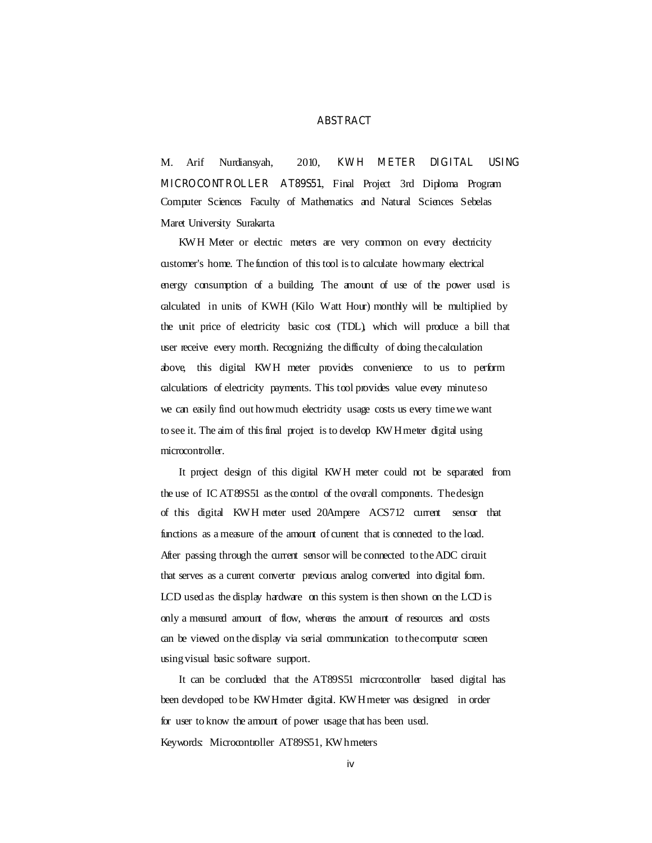#### **ABSTRACT**

M. Arif Nurdiansyah, 2010, **KWH METER DIGITAL USING MICROCONTROLLER AT89S51**, Final Project 3rd Diploma Program Computer Sciences Faculty of Mathematics and Natural Sciences Sebelas Maret University Surakarta.

KWH Meter or electric meters are very common on every electricity customer's home. The function of this tool is to calculate how many electrical energy consumption of a building. The amount of use of the power used is calculated in units of KWH (Kilo Watt Hour) monthly will be multiplied by the unit price of electricity basic cost (TDL), which will produce a bill that user receive every month. Recognizing the difficulty of doing the calculation above, this digital KWH meter provides convenience to us to perform calculations of electricity payments. This tool provides value every minute so we can easily find out how much electricity usage costs us every time we want to see it. The aim of this final project is to develop KWH meter digital using microcontroller.

It project design of this digital KWH meter could not be separated from the use of IC AT89S51 as the control of the overall components. The design of this digital KWH meter used 20Ampere ACS712 current sensor that functions as a measure of the amount of current that is connected to the load. After passing through the current sensor will be connected to the ADC circuit that serves as a current converter previous analog converted into digital form. LCD used as the display hardware on this system is then shown on the LCD is only a measured amount of flow, whereas the amount of resources and costs can be viewed on the display via serial communication to the computer screen using visual basic software support.

It can be concluded that the AT89S51 microcontroller based digital has been developed to be KW H meter digital. KW H meter was designed in order for user to know the amount of power usage that has been used. Keywords: Microcontroller AT89S51, KW hmeters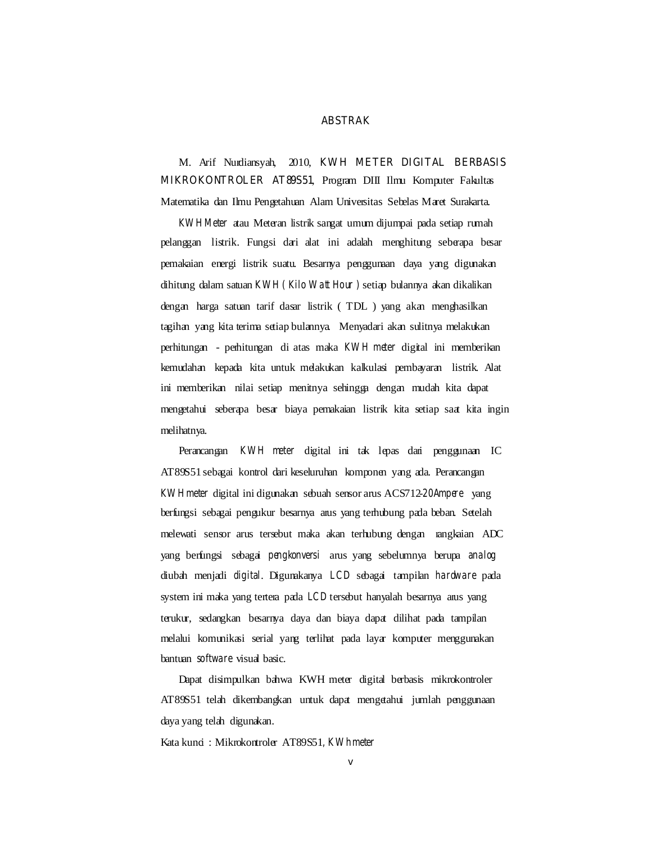#### **ABSTRAK**

M. Arif Nurdiansyah, 2010, **KWH METER DIGITAL BERBASIS MIKROKONTROLER AT89S51**, Program DIII Ilmu Komputer Fakultas Matematika dan Ilmu Pengetahuan Alam Universitas Sebelas Maret Surakarta.

*KW H Meter* atau Meteran listrik sangat umum dijumpai pada setiap rumah pelanggan listrik. Fungsi dari alat ini adalah menghitung seberapa besar pemakaian energi listrik suatu. Besarnya penggunaan daya yang digunakan dihitung dalam satuan *KWH ( Kilo W att Hour )* setiap bulannya akan dikalikan dengan harga satuan tarif dasar listrik ( TDL ) yang akan menghasilkan tagihan yang kita terima setiap bulannya. Menyadari akan sulitnya melakukan perhitungan - perhitungan di atas maka *KW H meter* digital ini memberikan kemudahan kepada kita untuk melakukan kalkulasi pembayaran listrik. Alat ini memberikan nilai setiap menitnya sehingga dengan mudah kita dapat mengetahui seberapa besar biaya pemakaian listrik kita setiap saat kita ingin melihatnya.

Perancangan *KWH meter* digital ini tak lepas dari penggunaan IC AT89S51 sebagai kontrol dari keseluruhan komponen yang ada. Perancangan *KW H meter* digital ini digunakan sebuah sensor arus ACS712-*20Ampere* yang berfungsi sebagai pengukur besarnya arus yang terhubung pada beban. Setelah melewati sensor arus tersebut maka akan terhubung dengan rangkaian ADC yang berfungsi sebagai *pengkonversi* arus yang sebelumnya berupa *analog*  diubah menjadi *digital*. Digunakanya *LCD* sebagai tampilan *hardware* pada system ini maka yang tertera pada LCD tersebut hanyalah besarnya arus yang terukur, sedangkan besarnya daya dan biaya dapat dilihat pada tampilan melalui komunikasi serial yang terlihat pada layar komputer menggunakan bantuan *software* visual basic.

Dapat disimpulkan bahwa KWH meter digital berbasis mikrokontroler AT89S51 telah dikembangkan untuk dapat mengetahui jumlah penggunaan daya yang telah digunakan.

Kata kunci : Mikrokontroler AT89S51, KWh meter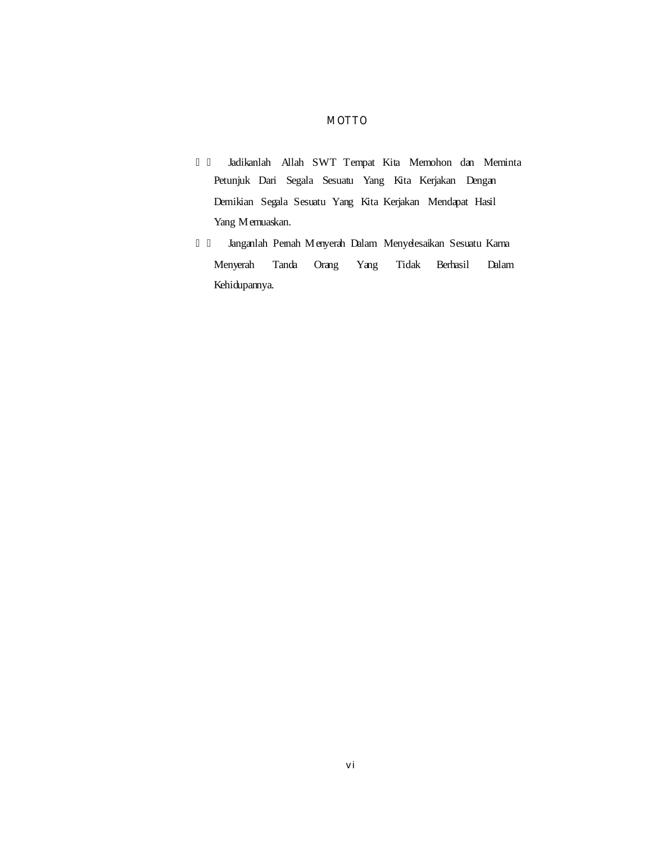# **MOTTO**

 Jadikanlah Allah SWT Tempat Kita Memohon dan Meminta Petunjuk Dari Segala Sesuatu Yang Kita Kerjakan Dengan Demikian Segala Sesuatu Yang Kita Kerjakan Mendapat Hasil YangM emuaskan.

Janganlah Pernah Menyerah Dalam Menyelesakan Sesuatu Karna Menyerah Tanda Orang Yang Tidak Berhasil Dalam Kehidupannya.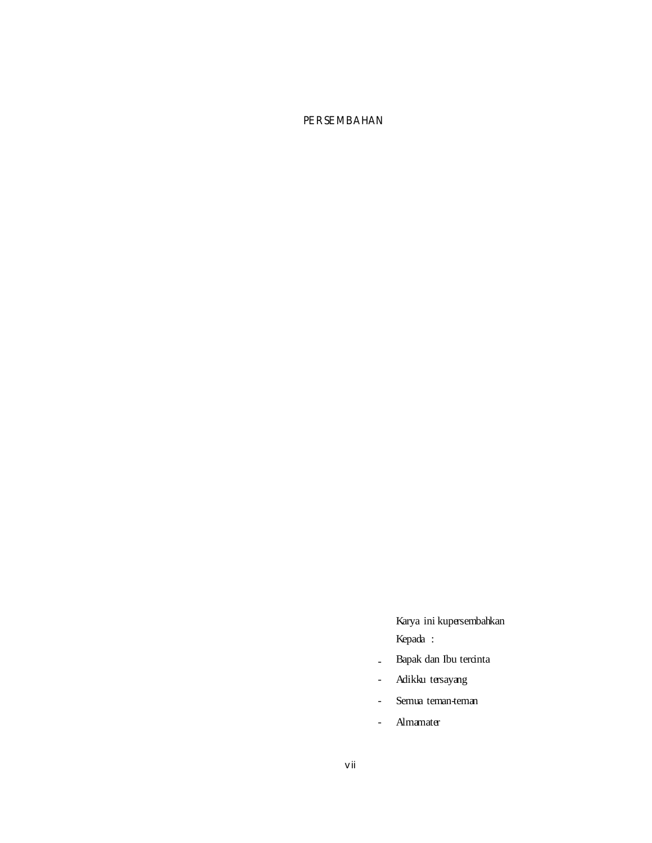# **PERSEMBAHAN**

Karya ini kupersembahkan Kepada :

- Bapak dan Ibu tercinta
- Adikku tersayang
- Semua teman-teman
- Almamater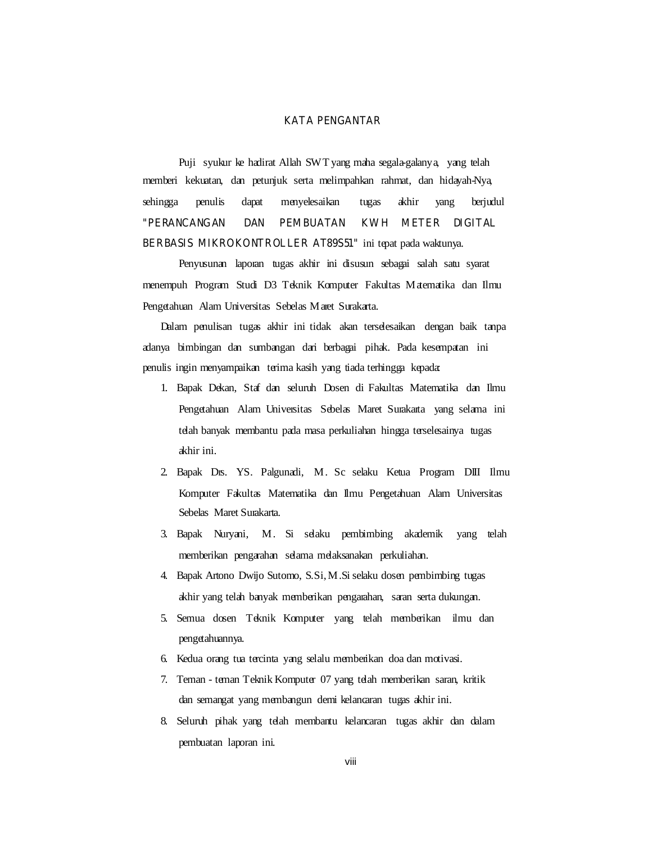#### **KATA PENGANTAR**

Puji syukur ke hadirat Allah SWT yang maha segala-galanya, yang telah memberi kekuatan, dan petunjuk serta melimpahkan rahmat, dan hidayah-Nya, sehingga penulis dapat menyelesaikan tugas akhir yang berjudul **"PERANCANGAN DAN PEMBUATAN KWH METER DIGITAL BERBASIS MIKROKONTROLLER AT89S51"** ini tepat pada waktunya.

Penyusunan laporan tugas akhir ini disusun sebagai salah satu syarat menempuh Program Studi D3 Teknik Komputer Fakultas M atematika dan Ilmu Pengetahuan Alam Universitas Sebelas Maret Surakarta.

Dalam penulisan tugas akhir ini tidak akan terselesaikan dengan baik tanpa adanya bimbingan dan sumbangan dari berbagai pihak. Pada kesempatan ini penulis ingin menyampaikan terima kasih yang tiada terhingga kepada:

- 1. Bapak Dekan, Staf dan seluruh Dosen di Fakultas Matematika dan Ilmu Pengetahuan Alam Universitas Sebelas Maret Surakarta yang selama ini telah banyak membantu pada masa perkuliahan hingga terselesainya tugas akhir ini.
- 2. Bapak Drs. YS. Pagunadi, M. Sc selaku Ketua Program DIII Ilmu Komputer Fakultas Matematika dan Ilmu Pengetahuan Alam Universitas Sebelas M aret Surakarta.
- 3. Bapak Nuryani, M. Si selaku pembimbing akademik yang telah memberikan pengarahan selama melaksanakan perkuliahan.
- 4. Bapak Artono Dwijo Sutomo, S.S. i M. Si selaku dosen pembimbing tugas akhir yang telah banyak memberikan pengarahan, saran serta dukungan.
- 5. Semua dosen Teknik Komputer yang telah memberikan ilmu dan pengetahuannya.
- 6. Kedua orang tua tercinta yang selalu memberikan doa dan motivasi.
- 7. Teman teman Teknik Komputer 07 yang telah memberikan saran, kritik dan semangat yang membangun demi kelancaran tugas akhir ini.
- 8. Seluruh pihak yang telah membantu kelancaran tugas akhir dan dalam pembuatan laporan ini.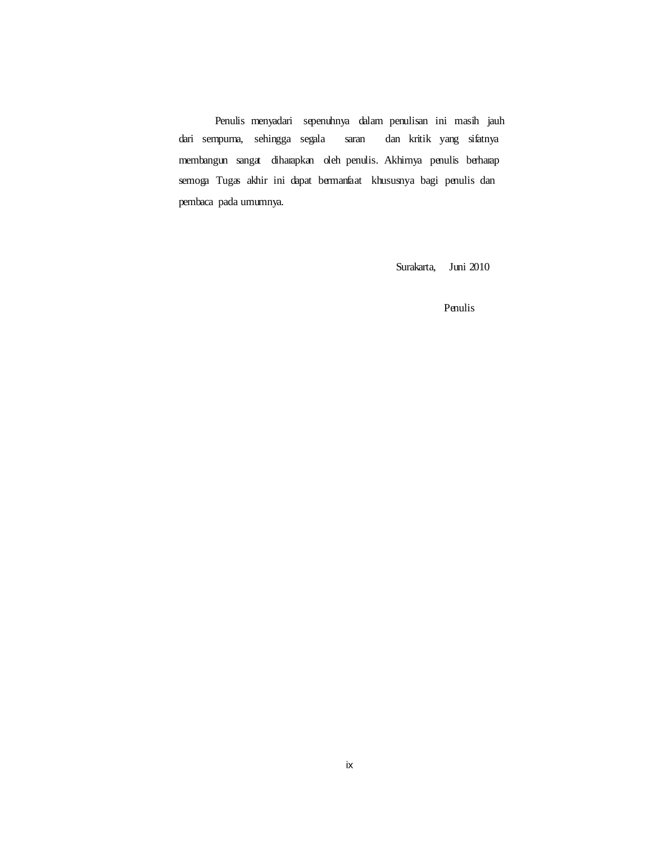Penulis menyadari sepenuhnya dalam penulisan ini mash jauh dari sempurna, sehingga segala saran dan kritik yang sifatnya membangun sangat diharapkan oleh penulis. Akhirnya penulis berharap semoga Tugas akhir ini dapat bermanfaat khususnya bagi penulis dan pembaca pada umumnya.

Surakarta, Juni 2010

Penulis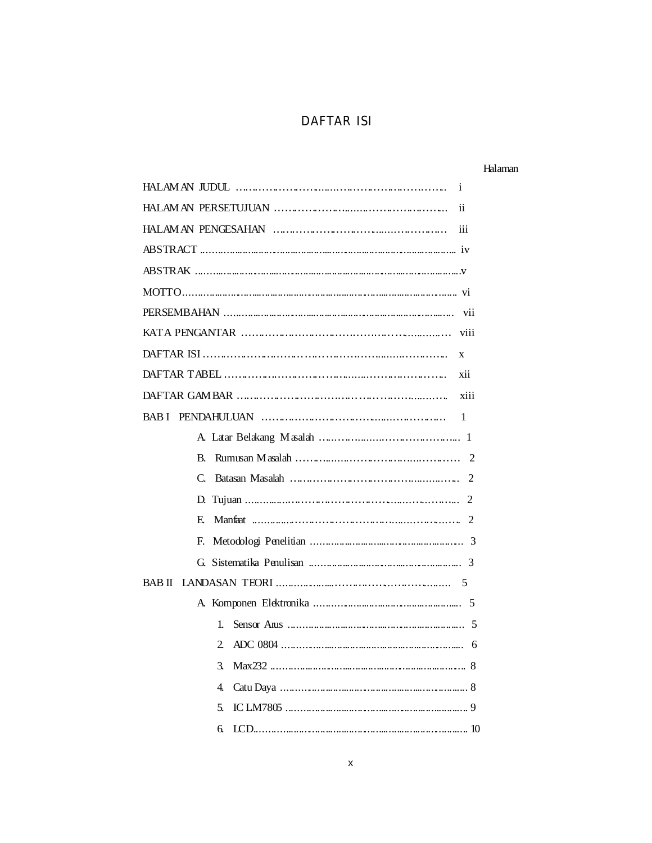# **DAFTAR ISI**

## Halanan

| i    |
|------|
| ii   |
| iii  |
|      |
|      |
|      |
|      |
| viii |
| X    |
| xii  |
| xiii |
| - 1  |
|      |
|      |
|      |
|      |
|      |
|      |
|      |
|      |
|      |
|      |
|      |
|      |
|      |
|      |
|      |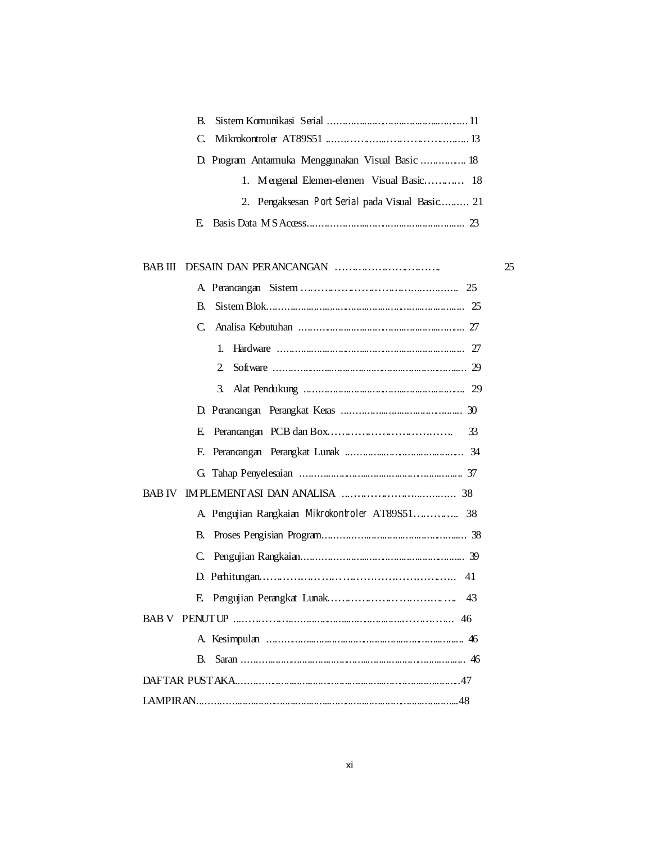| 1. M engenal $E \text{ km}$ en elemen V isual $B$ as is $\dots \dots \dots$ 18 |    |
|--------------------------------------------------------------------------------|----|
| 2. Pengaksesan Port Serial pada Visual Basic 21                                |    |
|                                                                                |    |
|                                                                                | 25 |
|                                                                                |    |
|                                                                                |    |
| $\gamma$<br>$\Gamma$ Analica Kohutuhan                                         |    |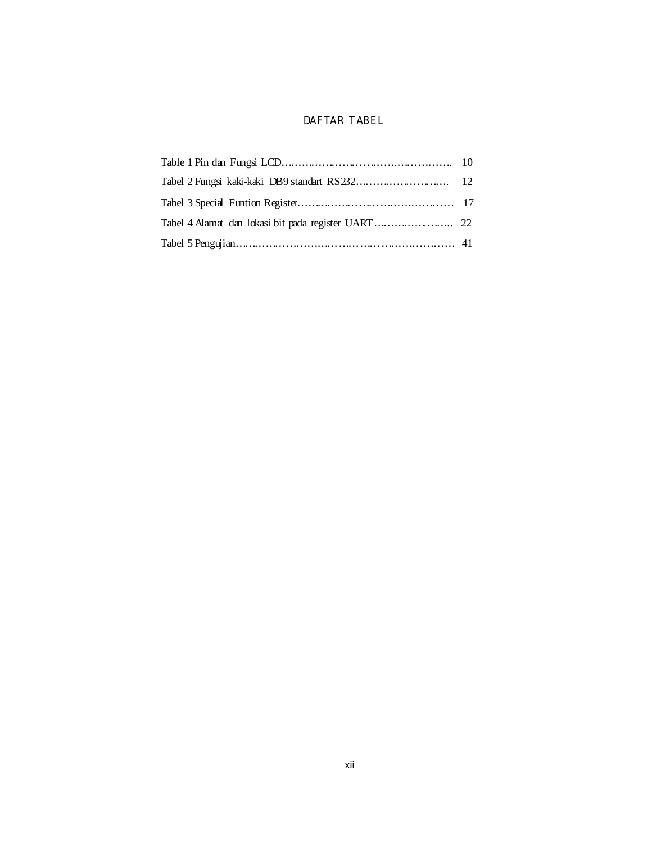## **DAFTAR TABEL**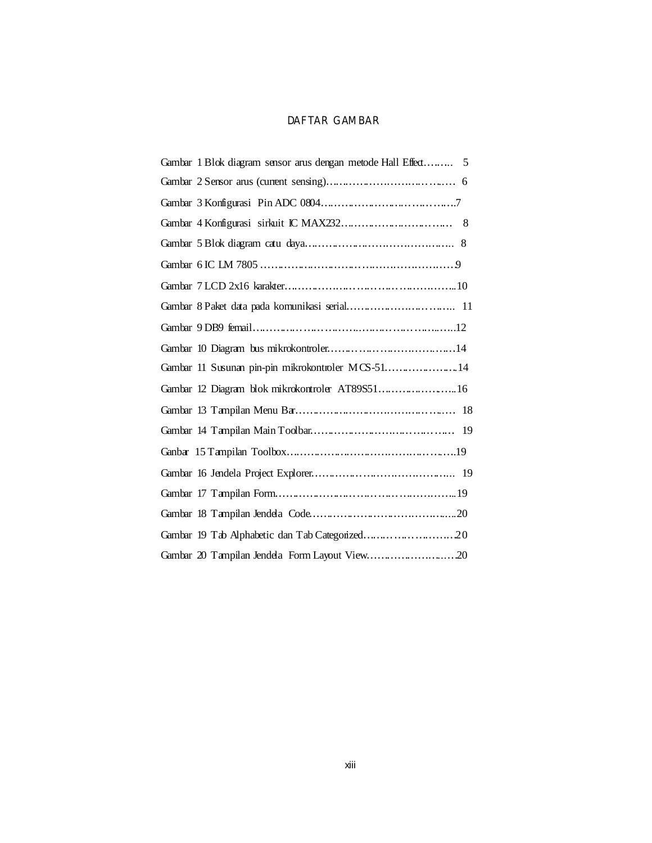## **DAFTAR GAMBAR**

| 19 |
|----|
|    |
|    |
|    |
|    |
|    |
|    |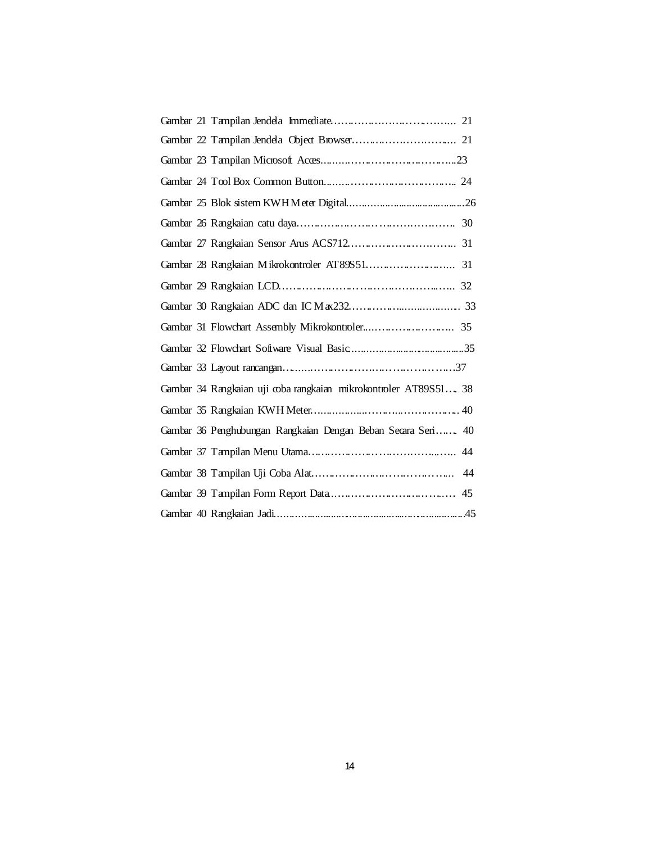| Ganbar 34 Rangkaian uji coba rangkaian mikrokontroler AT89S51 38 |
|------------------------------------------------------------------|
|                                                                  |
| Ganbar 36 Penghubungan Rangkaian Dengan Beban Secara Seri 40     |
|                                                                  |
|                                                                  |
|                                                                  |
|                                                                  |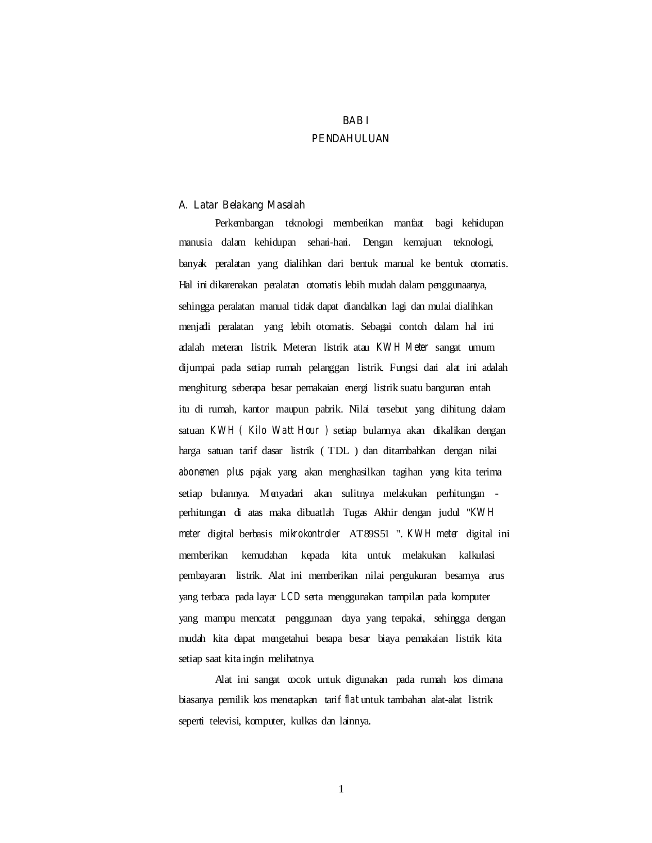# **BAB I PENDAHULUAN**

#### **A. Latar Belakang Masalah**

Perkembangan teknologi memberikan manfaat bagi kehidupan manusia dalam kehidupan sehari-hari. Dengan kemajuan teknologi, banyak peralatan yang dialihkan dari bentuk manual ke bentuk otomatis. Hal ini dikarenakan peralatan otomatis lebih mudah dalam penggunaanya, sehingga peralatan manual tidak dapat diandalkan lagi dan mulai dialihkan menjadi peralatan yang lebih otomatis. Sebagai contoh dalam hal ini adalah meteran listrik. Meteran listrik atau *KW H Meter* sangat umum dijumpai pada setiap rumah pelanggan listrik. Fungsi dari alat ini adalah menghitung seberapa besar pemakaian energi listrik suatu bangunan entah itu di rumah, kantor maupun pabrik. Nilai tersebut yang dihitung dalam satuan *KWH ( Kilo Watt Hour )* setiap bulannya akan dikalikan dengan harga satuan tarif dasar listrik (TDL) dan ditambahkan dengan nilai *abonemen plus* pajak yang akan menghasilkan tagihan yang kita terima setiap bulannya. Menyadari akan sulitnya melakukan perhitungan perhitungan di atas maka dibuatlah Tugas Akhir dengan judul "*KW H meter* digital berbasis *mikrokontroler* AT89S51 ". *KWH meter* digital ini memberikan kemudahan kepada kita untuk melakukan kalkulasi pembayaran listrik. Alat ini memberikan nilai pergukuran besamya arus yang terbaca pada laya *LCD* serta menggunakan tampilan pada komputer yang mampu mencatat penggunaan daya yang terpakai, sehingga dengan mudah kita dapat mengetahui berapa besar biaya pemakaian listrik kita setiap saat kita ingin melihatnya.

Alat ini sangat cocok untuk digunakan pada rumah kos dimana biasanya pemilik kos menetapkan tari *flat* untuk tambahan alat-alat listrik seperti televisi, komputer, kulkas dan lainnya.

1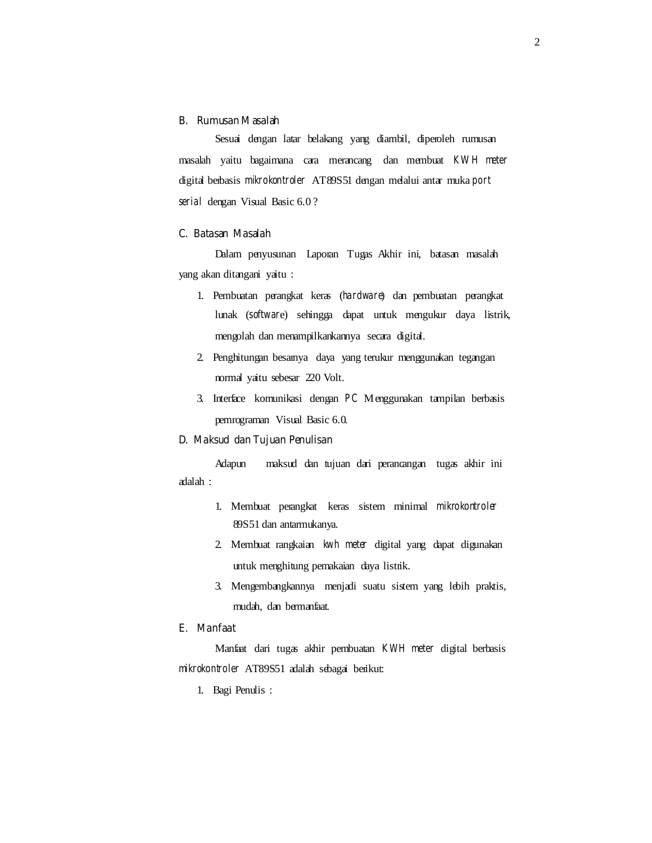### **B. Rumusan Masalah**

Sesuai dengan latar belakang yang diambil, diperoleh rumusan masalah yaitu bagaimana cara merancang dan membuat *KW H meter*  digital berbasis mikrokontroler AT89S51 dengan melalui antar mukaport *serial* dengan Visual Basic 6.0 ?

#### **C. Batasan Masalah**

Dalam penyusunan Laporan Tugas Akhir ini, batasan masalah yang akan ditangani yaitu :

- 1. Pembuatan perangkat keras (*hardware*) dan pembuatan perangkat lunak (*softwar*e) sehingga dapat untuk mengukur daya listrik, mengolah dan menampilkankannya secara digital.
- 2. Penghitungan besanya daya yang terukur menggunakan tegangan normal yaitu sebesar 220 Volt.
- 3. Interface komunikasi dengan *PC* Menggunakan tampilan berbasis pem rograman V isual Basic 6.0.

## **D. Maksud dan Tujuan Penulisan**

Adapun adalah : maksud dan tujuan dari perancangan tugas akhir ini

- 1. Membuat perangkat keras sistem minimal *mikrokontroler*  89S51 dan antarmukanya.
- 2. Membuat rangkaian *kwh meter* digital yang dapat digunakan untuk menghitung pemakaian daya listrik.
- 3. Mengembangkannya menjadi suatu sistem yang lebih praktis, mudah, dan bermanfaat.

## **E. Manfaat**

Manfaat dari tugas akhir pembuatan *KWH meter* digital berbasis *mikrokontroler* AT89S51 adalah sebagai berikut:

1. Bagi Penulis :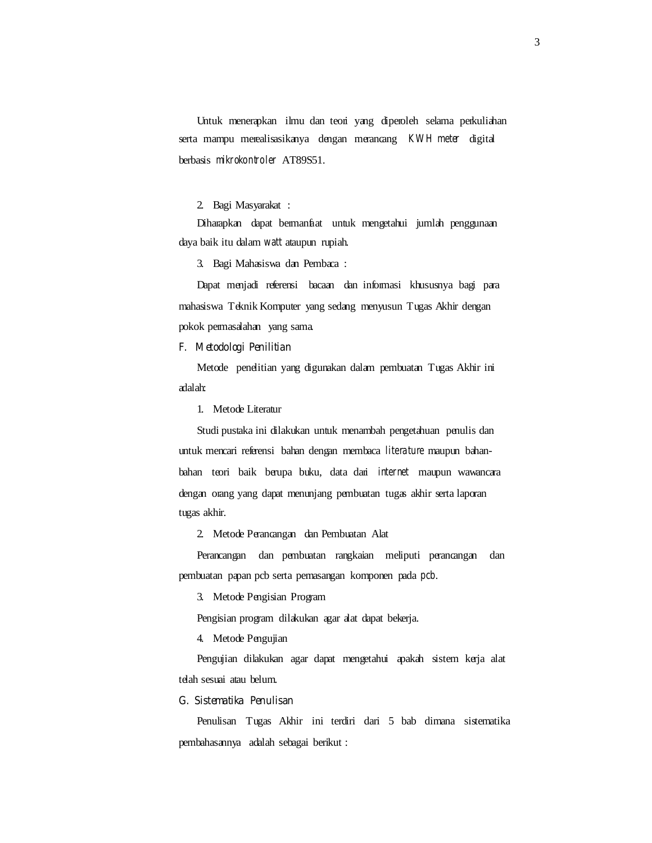Untuk menerapkan ilmu dan teori yang diperoleh selama perkuliahan serta mampu merealisasikanya dengan merancang *KWH meter* digital berbasis *mikrokontroler* AT89S51.

2. BagiM asyarakat :

Diharapkan dapat bermanfaat untuk mengetahui jumlah penggunaan daya baik itu dalam *watt* ataupun rupiah.

3. BagiM ahasiswa dan Pembaca:

Dapat menjadi referensi bacaan dan informasi khususnya bagi para mahasiswa Teknik Komputer yang sedang menyusun Tugas Akhir dengan pokok permasalahan yang sama.

#### **F. Metodologi Penilitian**

Metode penelitian yang digunakan dalam pembuatan Tugas Akhir ini adalah:

1. Metode Literatur

Studi pustaka ini dilakukan untuk menambah pengetahuan penulis dan untuk mencari referensi bahan dengan membaca *literature* maupun bahanbahan teori baik berupa buku, data dari *internet* maupun wawancara dengan orang yang dapat menunjang pembuatan tugas akhir serta laporan tugas akh r.

2. Metode Perancangan dan Pembuatan Alat

Perancangan dan pembuatan rangkaian meliputi perancangan dan pembuatan papan pcb serta pemasangan komponen pada *pcb*.

3. Metode Pengisian Program

Pengisian program dilakukan agar alat dapat bekerja.

4. Metode Pengujian

Pengujian dilakukan agar dapat mengetahui apakah sistem kerja alat telah sesuai atau belum.

#### **G. Sistematika Penulisan**

Penulisan Tugas Akhir ini terdiri dari 5 bab dimana sistematika pembahasannya adalah sebagai berkut: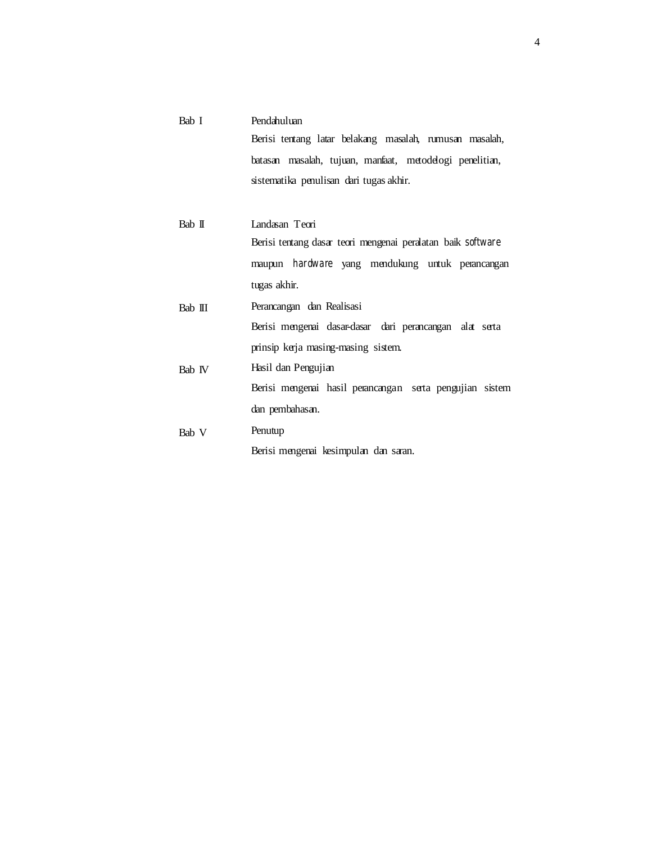| Bab I   | Pendahu luan                                               |
|---------|------------------------------------------------------------|
|         | Berisi tentang latar belakang masalah, numusan masalah,    |
|         | batasan masalah, tujuan, manfaat, metodelogi penelitian,   |
|         | sistematika penulisan dari tugas akhir.                    |
|         |                                                            |
| Bab II  | Landasan Teori                                             |
|         | Berisi tentang dasar teori mengenai peralatan bak software |
|         | maupur <i>hardware</i> yang mendukung untuk perancangan    |
|         | tugas akhir.                                               |
| Bab III | Perancangan dan Realisasi                                  |
|         | Berisi mengenai dasar-dasar dari perancangan alat serta    |
|         | prinsip kerja masing masing sistem.                        |
| Bab V   | Hasil dan Pengujian                                        |
|         | Berisi mengenai hasil perancangan serta pengujian sistem   |
|         | dan pembahasan.                                            |
| Bab V   | Penu tup                                                   |
|         | Berisim engenai kesimpulan dan saran.                      |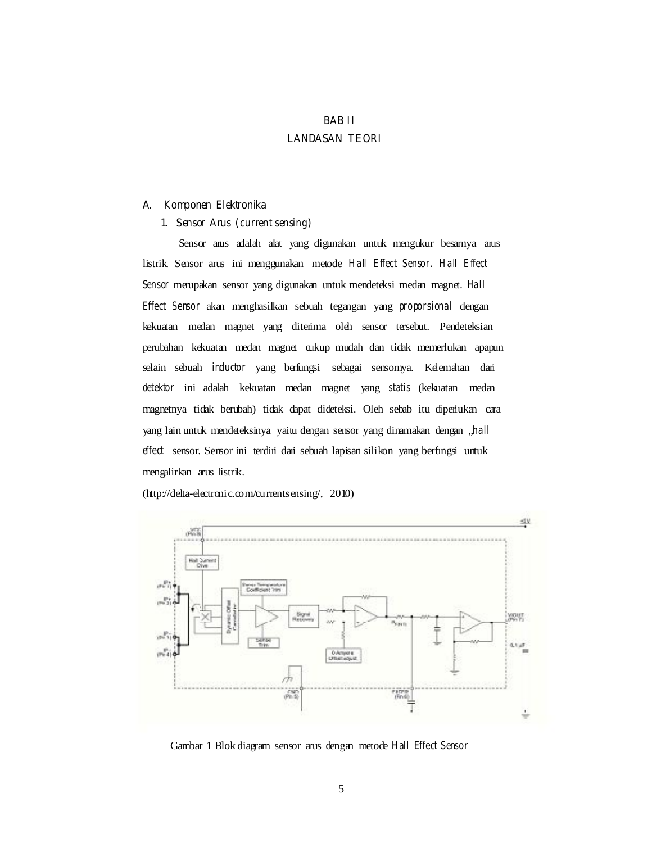# **BAB II LANDASAN TEORI**

### **A. Komponen Elektronika**

## 1. Sensor Anus (*current sensing*)

Sensor arus adalah alat yang digunakan untuk mengukur besamya arus listrik. Sensor arus ini menggunakan metode *Hall Effect Sensor. Hall Effect Sensor* merupakan sensor yang digunakan untuk mendeteksi medan magnet. *Hall Effect Sensor* akan menghasilkan sebuah tegangan yang *proporsional* dengan kekuatan medan magnet yang diterima oleh sensor tersebut. Pendeteksian perubahan kekuatan medan magnet cukup mudah dan tidak memerlukan apapun selain sebuah *inductor* yang berfungsi sebagai sensornya. Kelemahan dari *detektor* ini adalah kekuatan medan magnet yang *statis* (kekuatan medan magnetnya tidak berubah) tidak dapat dideteksi. Oleh sebab itu diperlukan cara yang lain untuk mendeteksinya yaitu dengan sensor yang dinamakan dengan "*hall effect* sensor. Sensor ini terdiri dari sebuah lapisan silikon yang berfungsi untuk mengalirkan arus listrik.

(http://delta-electronic.com/currentsensing/, 2010)



Gambar 1 Blok diagram sensor arus dengan metode *Hall Effect Sensor*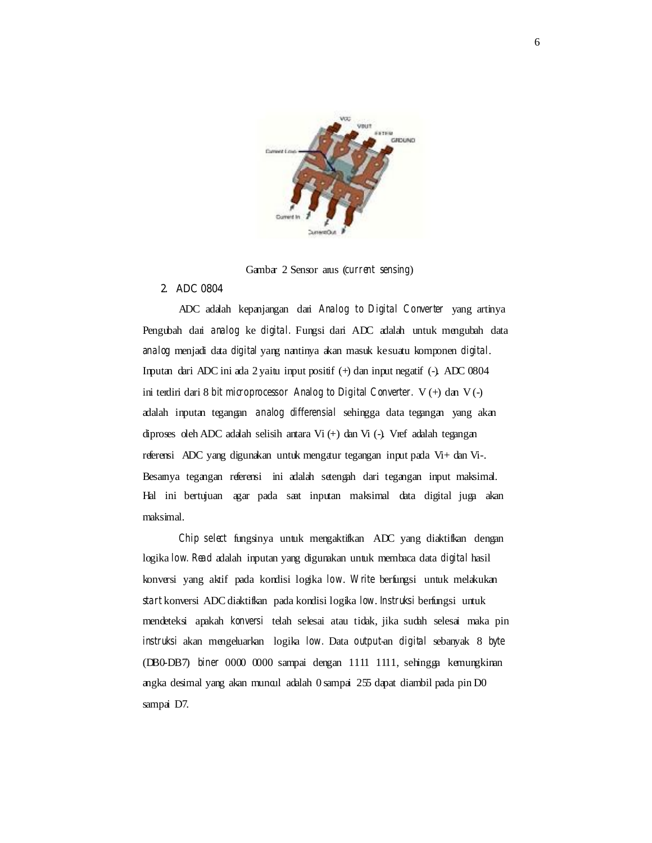

Gambar 2 Sensor anus (*current sensing*)

## **2. ADC 0804**

ADC adalah kepanjangan dari *Analog to Digital Converter* yang artinya Pengubah dari *analog* ke *digital.* Fungsi dari ADC adalah untuk mengubah data *analog* menjadi data *digital* yang nantinya akan masuk ke suatu komponen *digital*. Inputan dari ADC ini ada 2 yaitu input positif (+) dan input negatif (-). ADC 0804 ini terdiri dari 8 *bit microprocessor Analog to Digital Converter.* V (+) dan V (-) adalah inputan tegangan *analog differensial* sehingga data tegangan yang akan diproses oleh ADC adalah selisih antara Vi (+) dan Vi (-). Vref adalah tegangan referensi ADC yang digunakan untuk mengatur tegangan input pada Vi+ dan Vi-. Besarnya tegangan referensi ini adalah setengah dari tegangan input maksimal. Hal ini bertujuan agar pada saat inputan maksimal data digital juga akan maksimal.

*Chip select* fungsinya untuk mengaktifkan ADC yang diaktifkan dengan logika *low. Read* adalah inputan yang digunakan untuk membaca data *digital* hasil konversi yang aktif pada kondisi logika *low*. *Write* berfungsi untuk melakukan *start* konversi ADC diaktifkan pada kondisi logika *low*. *Instruksi* berfungsi untuk mendeteksi apakah *konversi* telah selesai atau tidak, jika sudah selesai maka pin *instruksi* akan mengeluarkan logika *low.* Data *output*-an *digital* sebanyak 8 *byte*  (DB0-DB7) *biner* 0000 0000 sampai dengan 1111 1111, sehingga kemungkinan angka desimal yang akan muncul adalah 0 sampai 255 dapat diambil pada pin D0 sampai D7.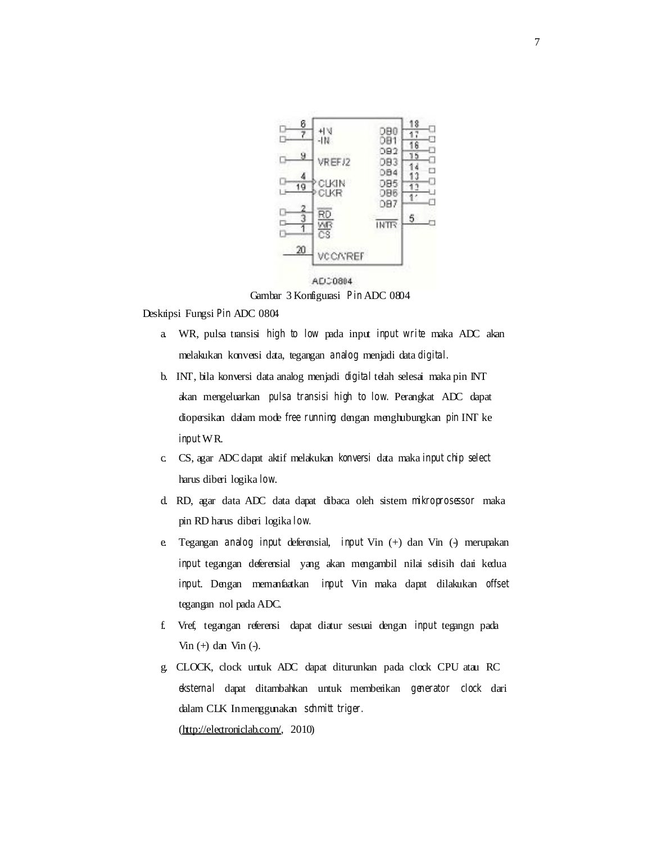

Gambar 3 Konfigurasi *Pin* ADC 0804

Deskripsi Fungsi *Pin* ADC 0804

- a. WR, pulsa transisi *high to low* pada input *input write* maka ADC akan melakukan konversi data, tegangan *analog* menjadi data *digital.*
- b. INT, bila konversi data analog menjadi *digital* telah selesai maka pin INT akan mengeluarkan *pulsa transisi high to low.* Perangkat ADC dapat diopersikan dalam mode *free running* dengan menghubungkan *pin* INT ke *input* WR.
- c. CS, agar ADC dapat aktif melakukan *konversi* data maka *input chip select*  harus diberi logika *low*.
- d. RD, agar data ADC data dapat dibaca oleh sistem *mikroprosessor* maka pin RD harus diberi logika *low.*
- e. Tegangan *analog input* deferensial, *input* Vin (+) dan Vin (-) merupakan *input* tegangan deferensial yang akan mengambil nilai selisih dari kedua *input*. Dengan memanfaatkan *input* Vin maka dapat dilakukan *offset*  tegangan nol pada ADC.
- f. Vref, tegangan referensi dapat diatur sesuai dengan *input* tegangn pada Vin (+) dan Vin (-).
- g. CLOCK, clock untuk ADC dapat diturunkan pada clock CPU atau RC *eksternal* dapat ditambahkan untuk memberikan *generator clock* dari dalam CLK In menggunakan *schmitt triger.*  (http://electroniclab.com/, 2010)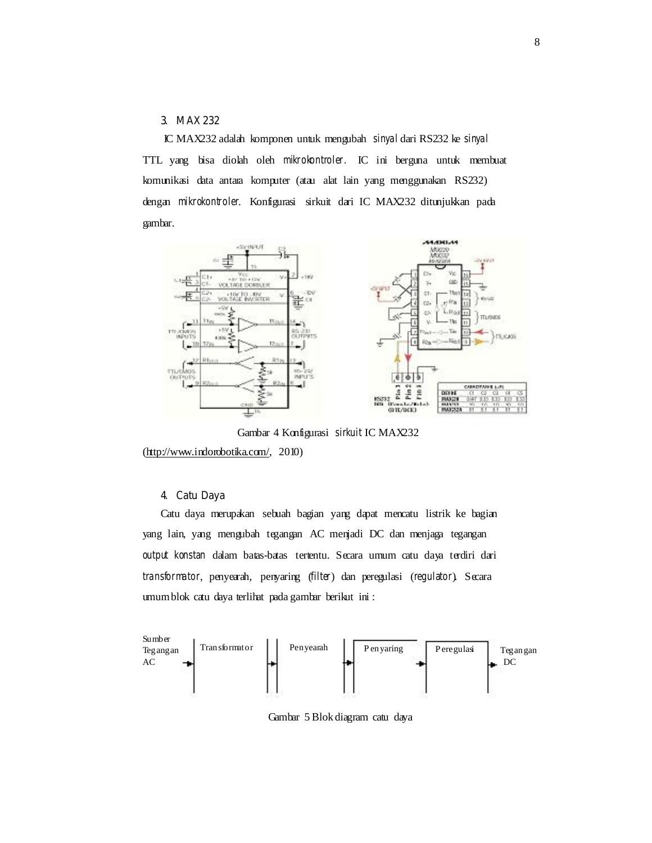## **3. MAX 232**

IC MAX232 adalah komponen untuk mengubah *sinyal* dari RS232 ke *sinyal*  TTL yang bisa diolah oleh *mikrokontroler.* IC ini berguna untuk membuat komunikasi data antara komputer (atau alat lain yang menggunakan RS232) dengan *mikrokontroler*. Konfigurasi sirkuit dari IC MAX232 ditunjukkan pada gambar.



Gambar 4 Konfigurasi *sirkuit* IC MAX232

(http://www.indorobotika.com/, 2010)

## **4. Catu Daya**

Catu daya merupakan sebuah bagian yang dapat mencatu listrik ke bagian yang lain, yang mengubah tegangan AC menjadi DC dan menjaga tegangan *output konstan* dalam batas-batas tertentu. Secara umum catu daya terdiri dari *transformator*, penyearah, penyaring (*filter*) dan peregulasi (*regulator*). Secara umum blok catu daya terlihat pada gambar berikut ini :



Gambar 5 Blok diagram catu daya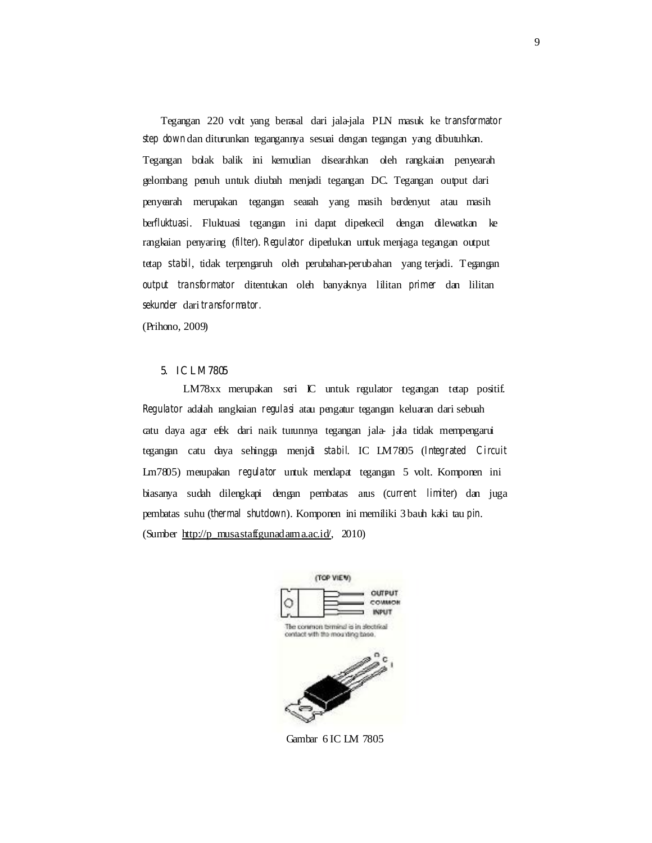Tegangan 220 volt yang berasal dari jala-jala PLN masuk ke *transformator step down* dan diturunkan tegangannya sesuai dengan tegangan yang dibutuhkan. Tegangan bolak balik ini kemudian disearahkan oleh rangkaian penyearah gelombang penuh untuk diubah menjadi tegangan DC. Tegangan output dari penyearah merupakan tegangan searah yang masih berdenyut atau masih ber*fluktuasi*. Fluktuasi tegangan ini dapat diperkecil dengan dilewatkan ke rangkaian penyaring (*filter*). *Regulator* diperlukan untuk menjaga tegangan output tetap *stabil*, tidak terpengaruh oleh perubahan-perubahan yang terjadi. Tegangan *output transformator* ditentukan oleh banyaknya lilitan *primer* dan lilitan *sekunder* dari *transformator.* 

(Prihono, 2009)

## **5. IC LM7805**

LM78xx merupakan seri IC untuk regulator tegangan tetap positif. *Regulator* adalah rangkaian *regulasi* atau pengatur tegangan keluaran dari sebuah catu daya agar efek dari naik turunnya tegangan jala- jala tidak mempengarui tegangan catu daya sehingga menjdi *stabil*. IC LM7805 (*Integrated Circuit*  Lm7805) merupakan *regulator* untuk mendapat tegangan 5 volt. Komponen ini biasanya sudah dilengkapi dengan pembatas arus (*current limiter*) dan juga pembatas suhu (*thermal shutdown*). Komponen ini memiliki 3 bauh kaki tau *pin*. (Sumber  $\frac{http://p-musastaff.guna.d.am.a.c.i.d'}{$ , 2010)



Gambar 6 IC LM 7805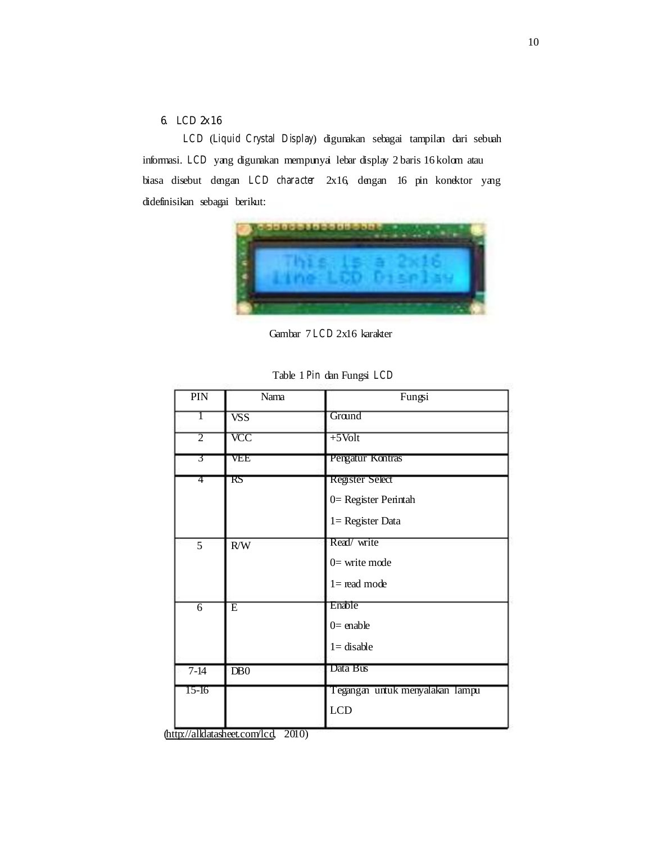# **6.** *LCD* **2x16**

*LCD* (*Liquid Crystal Display*) digunakan sebagai tampilan dari sebuah informasi. *LCD* yang digunakan mempunyai lebar display 2 baris 16 kolom atau biasa disebut dengan *LCD character* 2x16, dengan 16 pin konektor yang didefinisikan sebagai berikut:



Gambar 7 *LCD* 2x16 karakter

| PIN            | Nama                          | Fungsi                                                                |
|----------------|-------------------------------|-----------------------------------------------------------------------|
| L              | $\overline{\text{VSS}}$       | Ground                                                                |
| $\overline{2}$ | $\overline{\text{VCC}}$       | $+5$ Volt                                                             |
| 3              | VEE                           | Pengatur Kontras                                                      |
| 4              | $\overline{\text{\tiny{RS}}}$ | <b>Register Select</b><br>0= Register Perintah<br>$1 = Register Data$ |
| 5              | R/W                           | Read/write<br>$0=$ write mode<br>$l =$ read mode                      |
| $\overline{6}$ | $\overline{\mathrm{E}}$       | Enable<br>$0=$ enable<br>$1 =$ disable                                |
| $7 - 14$       | DB0                           | Data Bus                                                              |
| $15-16$        |                               | Tegangan untuk menyalakan lampu<br>LCD                                |

Table 1 *Pin* dan Fungsi *LCD* 

(http://alldatasheet.com/lcd, 2010)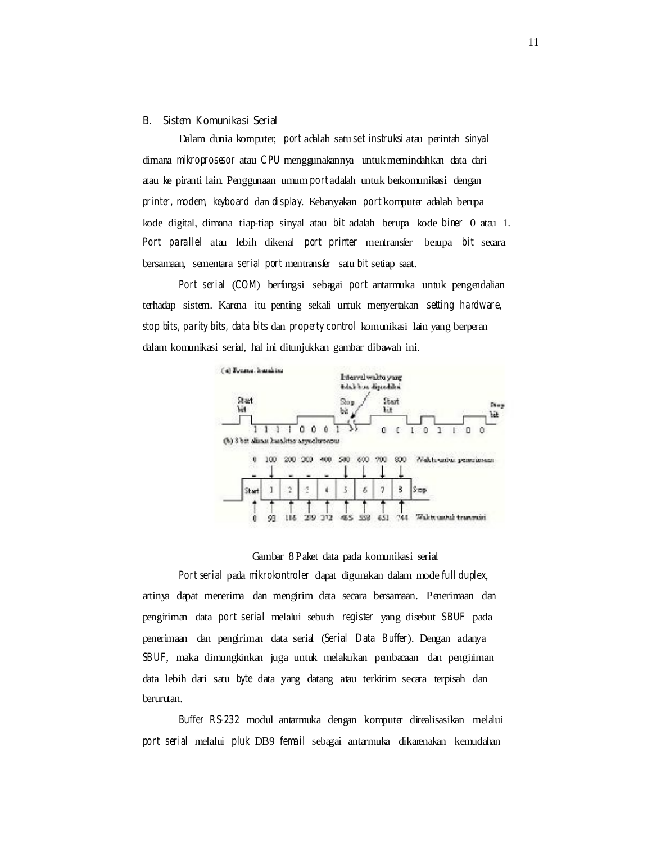#### **B. Sistem Komunikasi Serial**

Dalam dunia komputer, *port* adalah satu *set instruksi* atau perintah *sinyal*  dimana *mikroprosesor* atau *CPU* menggunakannya untuk memindahkan data dari atau ke piranti lain. Penggunaan umum *port* adalah untuk berkomunikasi dengan *printer, modem, keyboard* dan *display*. Kebanyakan *port* komputer adalah berupa kode digital, dimana tiap-tiap sinyal atau *bit* adalah berupa kode *biner* 0 atau 1. *Port parallel* atau lebih dikenal *port printer* mentransfer berupa *bit* secara bersamaan, sementara *serial port* mentransfer satu *bit* setiap saat.

*Port serial* (*COM*) berfungsi sebagai *port* antarmuka untuk pengendalian terhadap sistem. Karena itu penting sekali untuk menyertakan *setting hardware*, *stop bits, parity bits, data bits* dan *property control* komunikasi lain yang berperan dalam komunikasi serial, hal ini ditunjukkan gambar dibawah ini.



#### Gambar 8 Paket data pada komunikasi serial

*Port serial* pada *mikrokontroler* dapat digunakan dalam mode *full duplex*, artinya dapat menerima dan mengirim data secara bersamaan. Penerimaan dan pengiriman data *port serial* melalui sebuah *register* yang disebut *SBUF* pada penerimaan dan pengiriman data serial (*Serial Data Buffer*). Dengan adanya *SBUF*, maka dimungkinkan juga untuk melakukan pembacaan dan pengiriman data lebih dari satu *byte* data yang datang atau terkirim secara terpisah dan berurutan.

*Buffer RS-232* modul antarmuka dengan komputer direalisasikan melalui *port serial* melalui *pluk* DB9 *femail* sebagai antarmuka dikarenakan kemudahan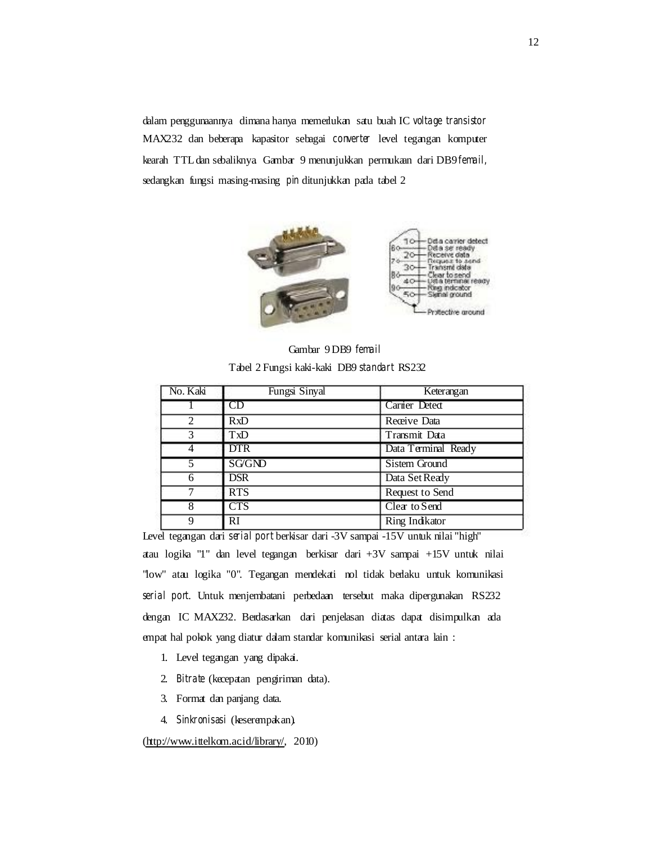dalam penggunaannya dimana hanya memerlukan satu buah IC *voltage transistor*  MAX232 dan beberapa kapasitor sebagai *converter* level tegangan komputer kearah TTL dan sebaliknya. Gambar 9 menunjukkan permukaan dari DB9 *femail,*  sedangkan fungsi masing-masing *pin* ditunjukkan pada tabel 2



Gambar 9 DB9 *femail*  Tabel 2 Fungsi kaki-kaki DB9 *standart* RS232

| No. Kaki       | Fungsi Sinyal           | Keterangan           |
|----------------|-------------------------|----------------------|
|                | CD                      | Carrier Detect       |
| $\overline{2}$ | <b>RxD</b>              | Receive Data         |
| 3              | TxD                     | Transmit Data        |
|                | <b>DTR</b>              | Data Terminal Ready  |
|                | <b>SG/GND</b>           | <b>Sistem Ground</b> |
|                | <b>DSR</b>              | Data Set Ready       |
|                | <b>RTS</b>              | Request to Send      |
|                | $\overline{\text{CTS}}$ | Clear to Send        |
| 9              | <b>RI</b>               | Ring Indikator       |

Level tegangan dari *serial port* berkisar dari -3V sampai -15V untuk nilai "high" atau logika "1" dan level tegangan berkisar dari +3V sampai +15V untuk nilai "low" atau logika "0". Tegangan mendekati nol tidak berlaku untuk komunikasi *serial port*. Untuk menjembatani perbedaan tersebut maka dipergunakan RS232 dengan IC MAX232. Berdasarkan dari penjelasan diatas dapat disimpulkan ada empat hal pokok yang diatur dalam standar komunikasi serial antara lain :

- 1. Level tegangan yang dipakai.
- 2. *Bitrate* (kecepatan pengiriman data).
- 3. Format dan panjang data.
- 4. *Sinkronisasi* (keserempakan).

(http://www.ittelkom.ac.id/library/, 2010)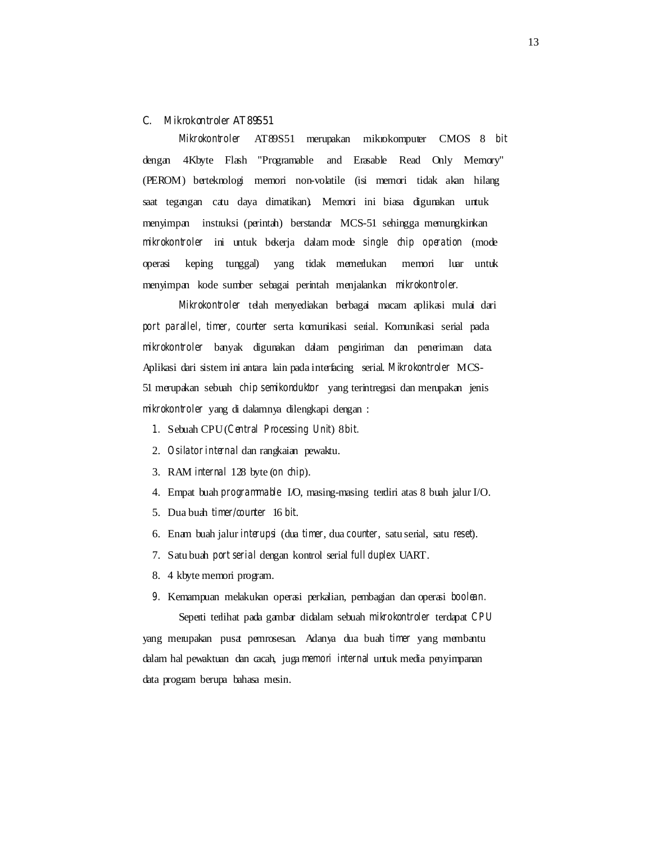#### **C.** *Mikrokontroler* **AT89S51**

*Mikrokontroler* AT89S51 merupakan mikrokomputer CMOS 8 *bit*  dengan 4Kbyte Flash "Programable and Erasable Read Only Memory" (PEROM) berteknologi memori non-volatile (isi memori tidak akan hilang saat tegangan catu daya dimatikan). Memori ini biasa digunakan untuk menyimpan instruksi (perintah) berstandar MCS-51 sehingga memungkinkan *mikrokontroler* ini untuk bekerja dalam mode *single chip operation* (mode operasi keping tunggal) yang tidak memerlukan memori luar untuk menyimpan kode sumber sebagai perintah menjalankan *mikrokontroler.* 

*Mikrokontroler* telah menyediakan berbagai macam aplikasi mulai dari *port parallel, timer, counter* serta komunikasi serial. Komunikasi serial pada *mikrokontroler* banyak digunakan dalam pengiriman dan penerimaan data. Aplikasi dari sistem ini antara lain pada interfacing serial. *Mikrokontroler* MCS-51 merupakan sebuah *chip semikonduktor* yang terintregasi dan merupakan jenis *mikrokontroler* yang di dalamnya dilengkapi dengan :

- *1.* Sebuah CPU (*Central Processing Unit*) 8 *bit.*
- 2. *Osilator internal* dan rangkaian pewaktu.
- 3. RAM *internal* 128 byte (*on chip*).
- 4. Empat buah *programmable* I/O, masing-masing terdiri atas 8 buah jalur I/O.
- 5. Dua buah *timer/counter* 16 *bit*.
- 6. Enam buah jalur *interupsi* (dua *timer*, dua *counter*, satu serial, satu *reset*).
- 7. Satu buah *port serial* dengan kontrol serial *full duplex* UART.
- 8. 4 kbyte memori program.
- *9.* Kemampuan melakukan operasi perkalian, pembagian dan operasi *boolean.*

Seperti terlihat pada gambar didalam sebuah *mikrokontroler* terdapat *CPU*  yang merupakan pusat pemrosesan. Adanya dua buah *timer* yang membantu dalam hal pewaktuan dan cacah, juga *memori internal* untuk media penyimpanan data program berupa bahasa mesin.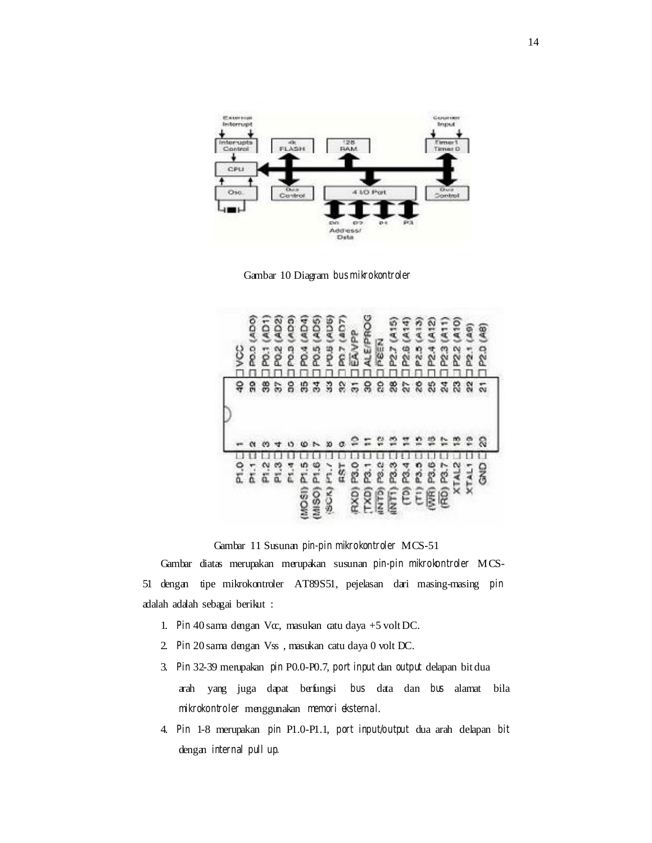

Gambar 10 Diagram *bus mikrokontroler* 

| PT.O<br>P.<br>δ                  | yo                      |
|----------------------------------|-------------------------|
|                                  |                         |
|                                  | QOV<br><b>DOG</b><br>ဌ  |
|                                  | 2011 (AD)<br>æ          |
|                                  | <b>2013-02</b><br>巼     |
|                                  | COVI<br>0.3(            |
| ä<br><b>MOSI</b>                 | AD4<br>180              |
| (0.9101)                         | <b>PO.5 (AD5</b>        |
| έ<br><b>SCK)</b>                 | <b>10.5 (ADB</b>        |
| FRST                             | <b>COUT 2 OK</b><br>ă   |
| RXD) P3.0                        | BAVPP                   |
|                                  | <b>ALE/PROG</b>         |
| 282<br>$\frac{20}{15}$           | NE3d                    |
| <b>EEE</b>                       | 2.7                     |
|                                  | 2.5                     |
| P3.3<br>P3.5                     | Ã<br>225                |
| WR) P3.6                         | 412                     |
| re,<br>$\overline{\mathfrak{D}}$ | Ę<br>$\frac{3}{2}$<br>Z |
| XTAL <sub>2</sub>                | Ę<br>22<br>23           |
| 关                                | 2                       |
| GN <sub>O</sub>                  | Q<br>2.0                |

Gambar 11 Susunan *pin-pin mikrokontroler* MCS-51

Gambar diatas merupakan merupakan susunan *pin-pin mikrokontroler* MCS-51 dengan tipe mikrokontroler AT89S51, pejelasan dari masing-masing *pin*  adalah adalah sebagai berikut :

- 1. *Pin* 40 sama dengan Vcc, masukan catu daya +5 volt DC.
- 2. *Pin* 20 sama dengan Vss , masukan catu daya 0 volt DC.
- 3. *Pin* 32-39 merupakan *pin* P0.0-P0.7, *port input* dan *output* delapan bit dua arah yang juga dapat berfungsi *bus* data dan *bus* alamat bila *mikrokontroler* menggunakan *memori eksternal*.
- 4. *Pin* 1-8 merupakan *pin* P1.0-P1.1, *port input/output* dua arah delapan *bit*  dengan *internal pull up.*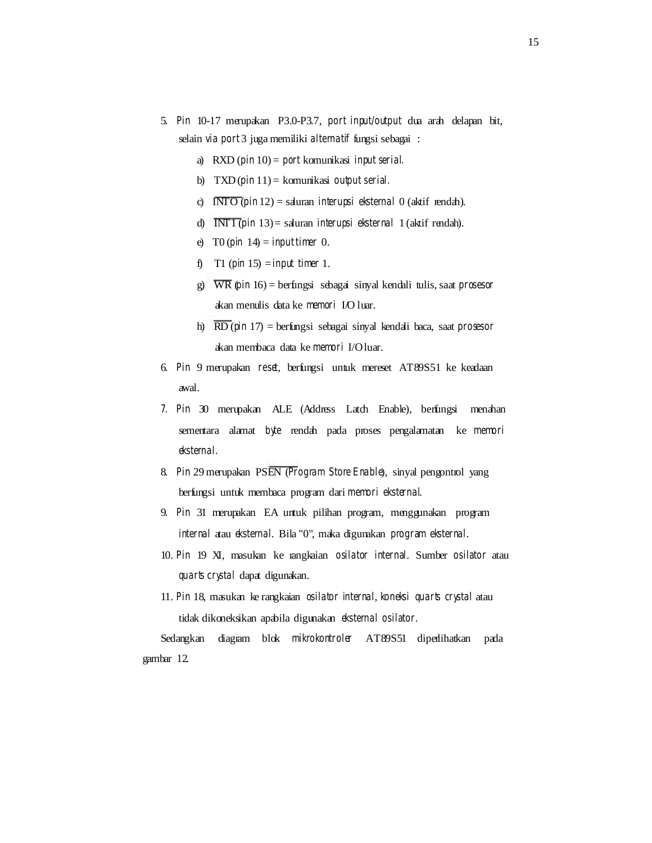- 5. *Pin* 10-17 merupakan P3.0-P3.7, *port input/output* dua arah delapan bit, selain *via port* 3 juga memiliki *alternatif* fungsi sebagai :
	- a) RXD (*pin* 10) = *port* komunikasi *input serial.*
	- b) TXD (*pin* 11) = komunikasi *output serial.*
	- c) INTO (*pin* 12) = saluran *interupsi eksternal* 0 (aktif rendah).
	- d) INT1 (*pin* 13) = saluran *interupsi eksternal* 1 (aktif rendah).
	- e) T0 (*pin* 14) = *input timer* 0.
	- f) T1 (*pin* 15) = *input timer* 1.
	- g) WR (*pin* 16) = berfungsi sebagai sinyal kendali tulis, saat *prosesor*  akan menulis data ke *memori* I/O luar.
	- h) RD (*pin* 17) = berfungsi sebagai sinyal kendali baca, saat *prosesor*  akan membaca data ke *memori* I/O luar.
- 6. *Pin* 9 merupakan *reset*, berfungsi untuk mereset AT89S51 ke keadaan awal.
- *7. Pin* 30 merupakan ALE (Address Latch Enable), berfungsi menahan sementara alamat *byte* rendah pada proses pengalamatan ke *memori eksternal.*
- 8. *Pin* 29 merupakan PSEN (*Program Store Enable*), sinyal pengontrol yang berfungsi untuk membaca program dari *memori eksternal*.
- 9. *Pin* 31 merupakan EA untuk pilihan program, menggunakan program *internal* atau *eksternal*. Bila "0", maka digunakan *program eksternal*.
- 10. *Pin* 19 XI, masukan ke rangkaian *osilator internal*. Sumber *osilator* atau *quarts crystal* dapat digunakan.
- 11. *Pin* 18, masukan ke rangkaian *osilator internal*, *koneksi quarts crystal* atau tidak dikoneksikan apabila digunakan *eksternal osilator*.

Sedangkan diagram blok *mikrokontroler* AT89S51 diperlihatkan pada gambar 12.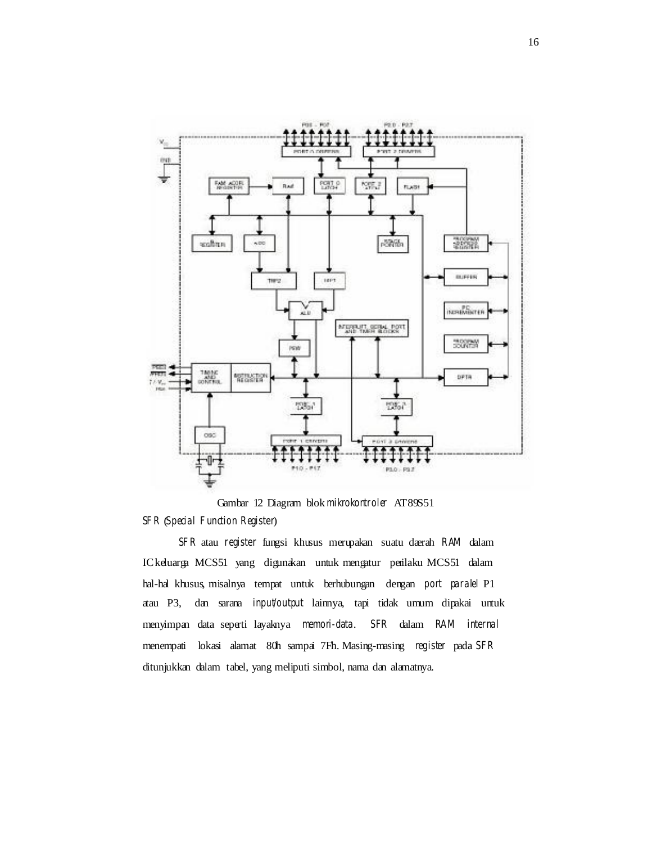

Gambar 12 Diagram blok *mikrokontroler* AT89S51 *SFR* (*Special Function Register*)

*SFR* atau *register* fungsi khusus merupakan suatu daerah *RAM* dalam IC keluarga MCS51 yang digunakan untuk mengatur perilaku MCS51 dalam hal-hal khusus, misalnya tempat untuk berhubungan dengan *port paralel* P1 atau P3, dan sarana *input/output* lainnya, tapi tidak umum dipakai untuk menyimpan data seperti layaknya *memori-data*. *SFR* dalam *RAM internal*  menempati lokasi alamat 80h sampai 7Fh. Masing-masing *register* pada *SFR*  ditunjukkan dalam tabel, yang meliputi simbol, nama dan alamatnya.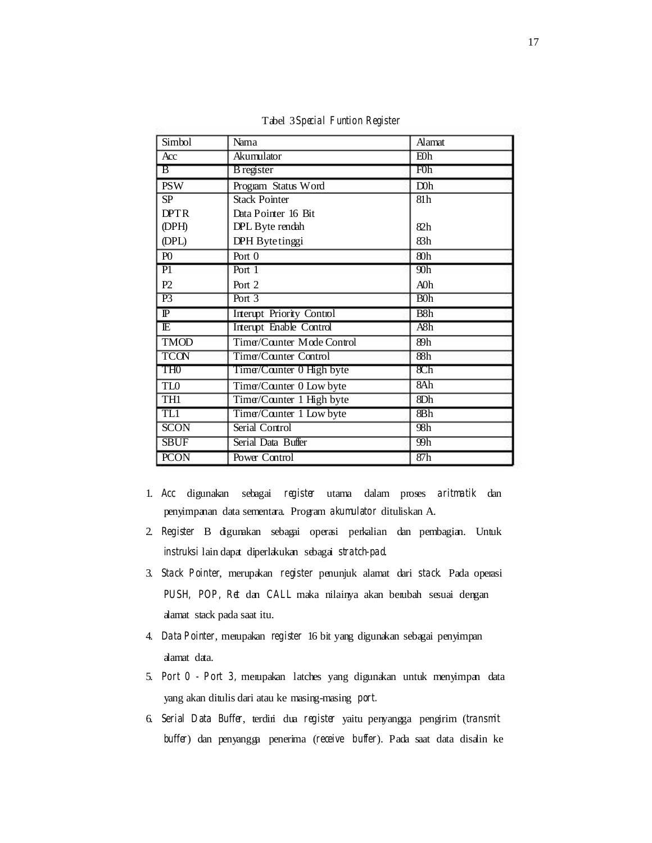| Simbol                  | Nama                             | <b>Alamat</b>    |  |
|-------------------------|----------------------------------|------------------|--|
| Acc                     | Akumulator                       | E0h              |  |
| $\overline{B}$          | <b>B</b> register                | F0h              |  |
| <b>PSW</b>              | Program Status Word              | D0h              |  |
| SP                      | <b>Stack Pointer</b>             | 81h              |  |
| <b>DPTR</b>             | Data Pointer 16 Bit              |                  |  |
| (DPH)                   | DPL Byte rendah                  | 82h              |  |
| (DPL)                   | DPH Bytetinggi                   | 83h              |  |
| P <sub>0</sub>          | Port $0$                         | 80h              |  |
| $\overline{P1}$         | Port $1$                         | $\overline{90h}$ |  |
| P2                      | Port 2                           | AOh              |  |
| $\overline{P3}$         | Port $3$                         | B <sub>0</sub>   |  |
| $\overline{\mathbb{P}}$ | <b>Interupt Priority Control</b> | B8h              |  |
| $\overline{\mathbb{E}}$ | <b>Interupt Enable Control</b>   | A8h              |  |
| <b>TMOD</b>             | Timer/Counter Mode Control       | 89h              |  |
| <b>TCON</b>             | Time/Counter Control             | 88h              |  |
| TH <sub>0</sub>         | Timer/Counter 0 High byte        | 8C <sub>h</sub>  |  |
| TL <sub>0</sub>         | Time/Counter 0 Low byte          | 8Ah              |  |
| TH1                     | Time/Counter 1 High byte         | 8Dh              |  |
| TL1                     | Timer/Counter 1 Low byte         | 8Bh              |  |
| <b>SCON</b>             | Serial Control                   | 98h              |  |
| <b>SBUF</b>             | Serial Data Buffer               | 99h              |  |
| <b>PCON</b>             | Power Control                    | 87h              |  |

Tabel 3*Special Funtion Register* 

- 1. *Acc* digunakan sebagai *register* utama dalam proses *aritmatik* dan penyimpanan data sementara. Program *akumulator* dituliskan A.
- 2. *Register* B digunakan sebagai operasi perkalian dan pembagian. Untuk *instruksi* lain dapat diperlakukan sebagai *stratch-pad*.
- 3. *Stack Pointer*, merupakan *register* penunjuk alamat dari *stack*. Pada operasi *PUSH, POP, Ret* dan *CALL* maka nilainya akan berubah sesuai dengan alamat stack pada saat itu.
- 4. *Data Pointer*, merupakan *register* 16 bit yang digunakan sebagai penyimpan alamat data.
- 5. *Port 0 Port 3,* merupakan latches yang digunakan untuk menyimpan data yang akan ditulis dari atau ke masing-masing *port.*
- 6. *Serial Data Buffer*, terdiri dua *register* yaitu penyangga pengirim (*transmit buffer*) dan penyangga penerima (*receive buffer*). Pada saat data disalin ke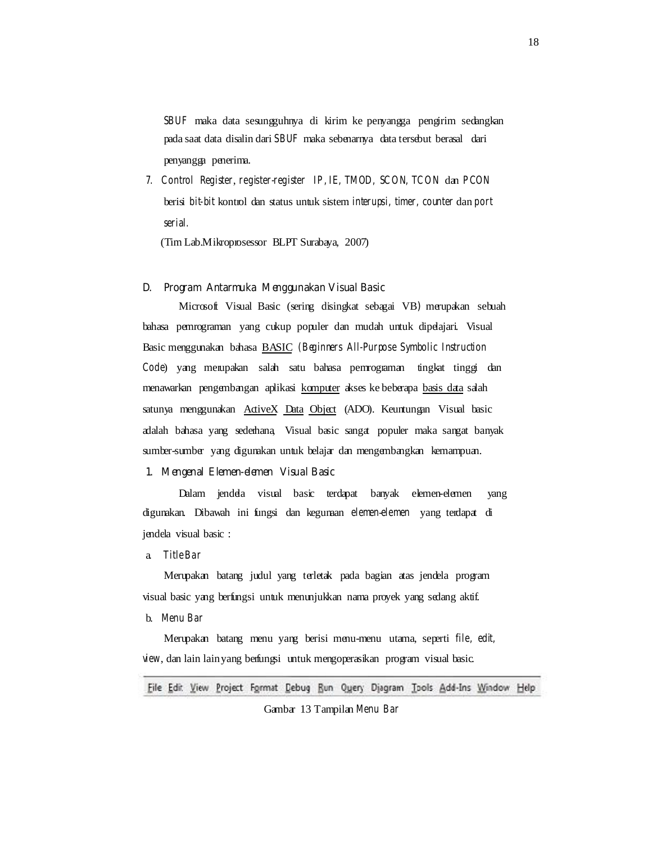*SBUF* maka data sesungguhnya di kirim ke penyangga pengirim sedangkan pada saat data disalin dari *SBUF* maka sebenarnya data tersebut berasal dari penyangga penerima.

*7. Control Register*, *register-register IP, IE, TMOD, SCON, TCON* dan *PCON*  berisi *bit-bit* kontrol dan status untuk sistem *interupsi, timer, counter* dan *port serial.* 

(Tim Lab.Mikroprosessor BLPT Surabaya, 2007)

#### **D. Program Antarmuka Menggunakan Visual Basic**

Microsoft Visual Basic (sering disingkat sebagai VB**)** merupakan sebuah bahasa pemrograman yang cukup populer dan mudah untuk dipelajari. Visual Basic menggunakan bahasa BASIC *(Beginners All-Purpose Symbolic Instruction Code*) yang merupakan salah satu bahasa pemrograman tingkat tinggi dan menawarkan pengembangan aplikasi komputer akses ke beberapa basis data salah satunya menggunakan ActiveX Data Object (ADO). Keuntungan Visual basic adalah bahasa yang sederhana, Visual basic sangat populer maka sangat banyak sumber-sumber yang digunakan untuk belajar dan mengembangkan kemampuan.

#### **1. Mengenal Elemen-elemen Visual Basic**

Dalam jendela visual basic terdapat banyak elemen-elemen yang digunakan. Dibawah ini fungsi dan kegunaan *elemen*-*elemen* yang terdapat di jendela visual basic :

a. *Title Bar* 

Merupakan batang judul yang terletak pada bagian atas jendela program visual basic yang berfungsi untuk menunjukkan nama proyek yang sedang aktif.

b. *Menu Bar* 

Merupakan batang menu yang berisi menu-menu utama, seperti *file, edit, view*, dan lain lain yang berfungsi untuk mengoperasikan program visual basic.

File Edit View Project Format Debug Run Query Djagram Tools Add-Ins Window Help

Gambar 13 Tampilan *Menu Bar*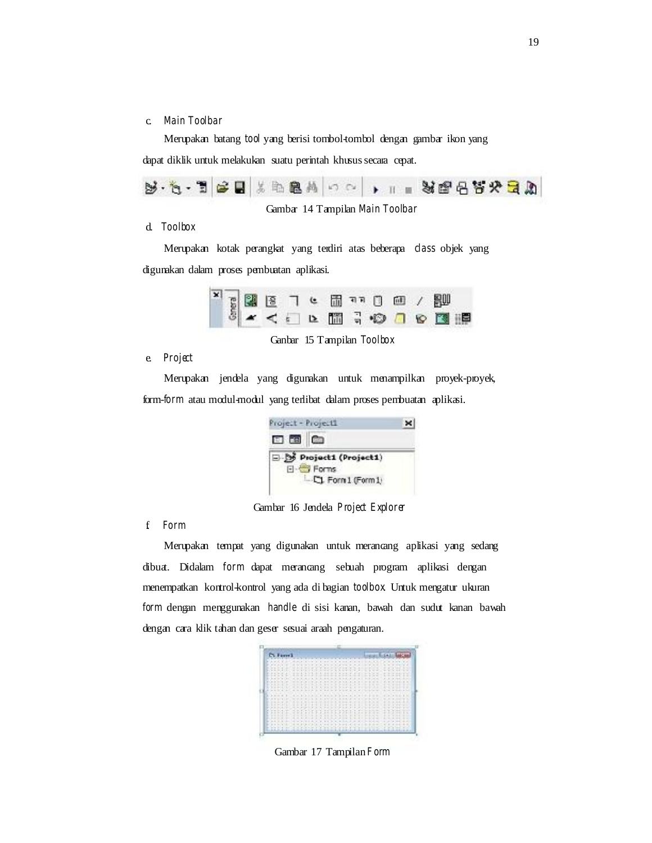#### c. *Main Toolbar*

Merupakan batang *tool* yang berisi tombol-tombol dengan gambar ikon yang dapat diklik untuk melakukan suatu perintah khusus secara cepat.

| 5.5.T 2 H X 2 2 A 0 0 1 . T . N 2 2 3 2 3 A |
|---------------------------------------------|
|---------------------------------------------|

Gambar 14 Tampilan *Main Toolbar* 

### d. *Toolbox*

Merupakan kotak perangkat yang terdiri atas beberapa *class* objek yang digunakan dalam proses pembuatan aplikasi.



Ganbar 15 Tampilan *Toolbox* 

e. *Project* 

Merupakan jendela yang digunakan untuk menampilkan proyek-proyek, form-*form* atau modul-modul yang terlibat dalam proses pembuatan aplikasi.

| Project - Project1                   |  |
|--------------------------------------|--|
| 日国白                                  |  |
| D-By Project1 (Project1)<br>日· Forms |  |
| L.CJ. Form 1 (Form 1)                |  |

Gambar 16 Jendela *Project Explorer* 

f. *Form* 

Merupakan tempat yang digunakan untuk merancang aplikasi yang sedang dibuat. Didalam *form* dapat merancang sebuah program aplikasi dengan menempatkan kontrol-kontrol yang ada di bagian *toolbox*. Untuk mengatur ukuran *form* dengan menggunakan *handle* di sisi kanan, bawah dan sudut kanan bawah dengan cara klik tahan dan geser sesuai araah pengaturan.



Gambar 17 Tampilan*Form*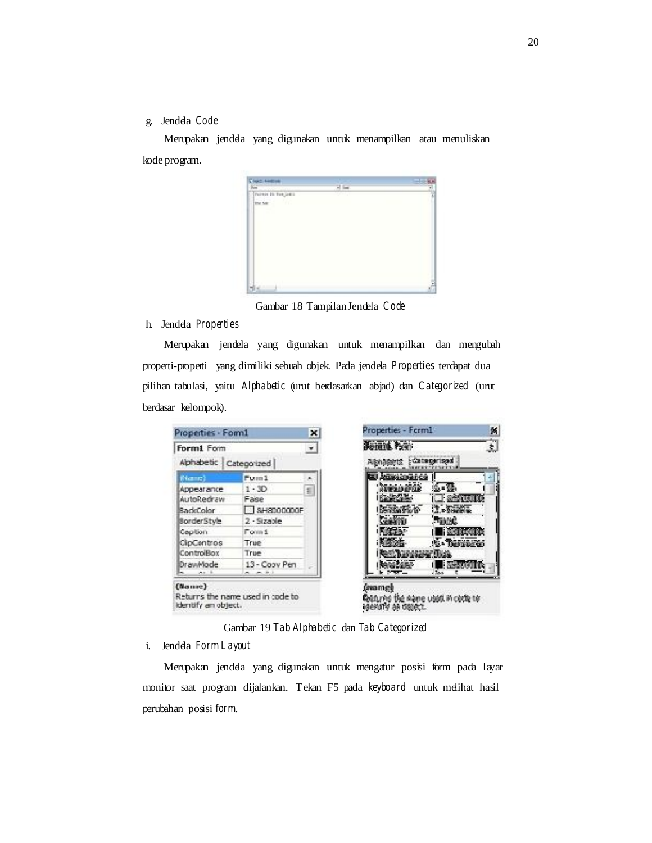## g. Jendela *Code*

Merupakan jendela yang digunakan untuk menampilkan atau menuliskan kode program.

| <b>Clark Freshold</b> |     |   |
|-----------------------|-----|---|
| 碎                     | 저 드 | ٠ |
| Furnis In Forcioti    |     |   |
| in us.<br>w           |     |   |
|                       |     |   |
|                       |     |   |
|                       |     |   |
|                       |     |   |
|                       |     |   |
|                       |     |   |
|                       |     |   |
|                       |     |   |
|                       |     |   |
|                       |     | ś |
|                       |     |   |

Gambar 18 Tampilan Jendela *Code* 

## h. Jendela *Properties*

Merupakan jendela yang digunakan untuk menampilkan dan mengubah properti-properti yang dimiliki sebuah objek. Pada jendela *Properties* terdapat dua pilihan tabulasi, yaitu *Alphabetic* (urut berdasarkan abjad) dan *Categorized* (urut berdasar kelompok).

| Form1 Form<br>Alphabetic Categorized |                | ٠ | Sonna Pen<br>Alphagens : Categorised |
|--------------------------------------|----------------|---|--------------------------------------|
| <b>Biometer</b>                      | Fuen1          |   |                                      |
| Appearance                           | $1 - 3D$       | 룉 | :1. = 30.                            |
| AutoRedraw                           | Fase           |   | $\pm$ and $\pm$                      |
| BadcColor                            | $8$ H8D00000F  |   | $7.55$ models                        |
| <b>BorderStyle</b>                   | $2 - Sizeable$ |   | <b>Resms</b>                         |
| Caption                              | Form1          |   | <b>Heranocono</b>                    |
| ClipContros                          | True           |   | As - Darwoord                        |
| ControlBox                           | True           |   | reseer Trip.                         |
| DrawMode                             | 13 - Coov Pen  |   | <b>BREAK COLLEGE</b>                 |

Gambar 19 *Tab Alphabetic* dan *Tab Categorized* 

#### i. Jendela *Form Layout*

Merupakan jendela yang digunakan untuk mengatur posisi form pada layar monitor saat program dijalankan. Tekan F5 pada *keyboard* untuk melihat hasil perubahan posisi *form*.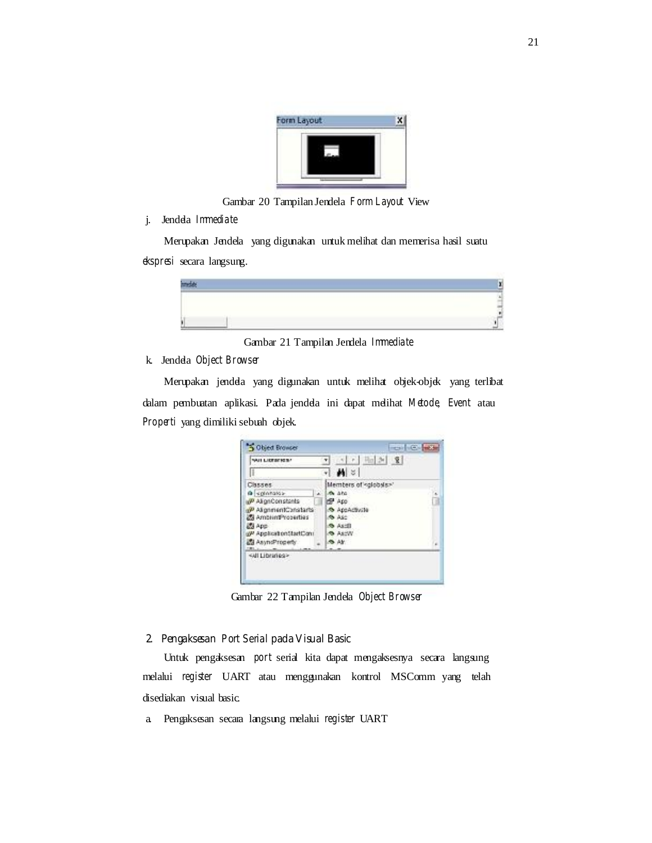

Gambar 20 Tampilan Jendela *Form Layout* View

j. Jendela *Immediate* 

Merupakan Jendela yang digunakan untuk melihat dan memerisa hasil suatu *ekspresi* secara langsung.



Gambar 21 Tampilan Jendela *Immediate* 

## k. Jendela *Object Browser*

Merupakan jendela yang digunakan untuk melihat objek-objek yang terlibat dalam pembuatan aplikasi. Pada jendela ini dapat melihat *Metode*, *Event* atau *Properti* yang dimiliki sebuah objek.

| WILLIAMSES!                        | $\mathbb{R}$                    |   |
|------------------------------------|---------------------------------|---|
|                                    |                                 |   |
|                                    | -া#ৰা চা                        |   |
| Classes:                           | Members of <globals>"</globals> |   |
| @ spinnalos-                       | m ara                           |   |
| u <sup>p</sup> AlignConstants      | 2400                            |   |
| al <sup>p</sup> AlignmentConstarts | <b>O AppActivite</b>            |   |
| Ambrim Properties                  | <b>REASE</b>                    |   |
| <b>BSI App</b>                     | <b>Object</b>                   |   |
| gP ApplicationStartCont            | WORK OR                         |   |
| AsyndProperty                      | SAY.                            | ü |
| <b>CRL</b>                         |                                 |   |
|                                    |                                 |   |
| <wildranks></wildranks>            |                                 |   |

Gambar 22 Tampilan Jendela *Object Browser* 

## **2. Pengaksesan** *Port Serial* **pada Visual Basic**

Untuk pengaksesan *port* serial kita dapat mengaksesnya secara langsung melalui *register* UART atau menggunakan kontrol MSComm yang telah disediakan visual basic.

a. Pengaksesan secara langsung melalui *register* UART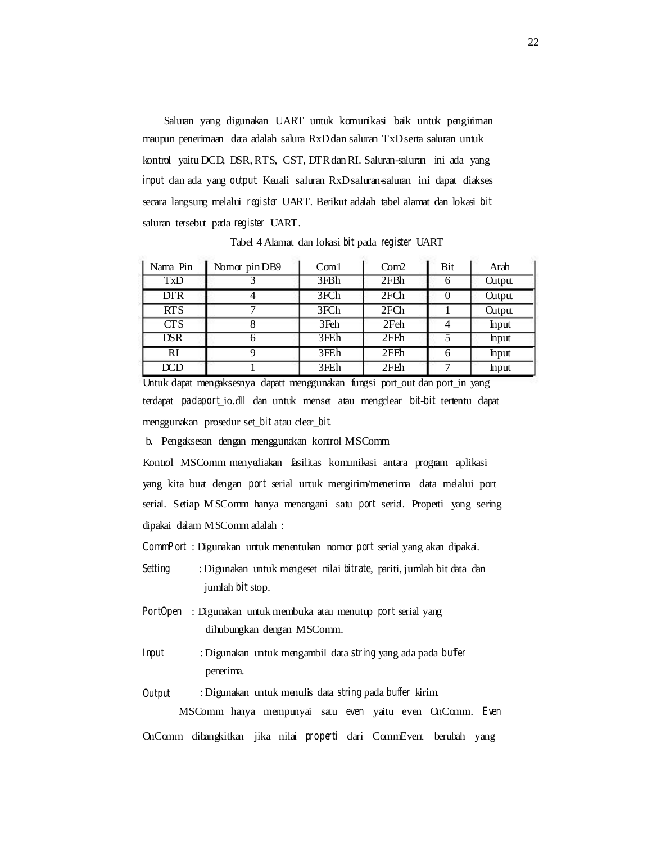Saluran yang digunakan UART untuk komunikasi baik untuk pengiriman maupun penerimaan data adalah salura RxD dan saluran TxD serta saluran untuk kontrol yaitu DCD, DSR, RTS, CST, DTR dan RI. Saluran-saluran ini ada yang *input* dan ada yang *output*. Keuali saluran RxD saluran-saluran ini dapat diakses secara langsung melalui *register* UART. Berikut adalah tabel alamat dan lokasi *bit*  saluran tersebut pada *register* UART.

| Nama Pin   | Nomor pin DB9 | Com1 | Com2             | Bit | Arah          |
|------------|---------------|------|------------------|-----|---------------|
| <b>TxD</b> |               | 3FBh | 2FBh             | 6   | <b>Output</b> |
| DTR        |               | 3FCh | 2FCh             |     | <b>Output</b> |
| <b>RTS</b> |               | 3FCh | 2FCh             |     | <b>Output</b> |
| <b>CTS</b> |               | 3Feh | 2Feh             |     | Input         |
| DSR        |               | 3FEh | 2F <sub>Th</sub> | 5   | Input         |
| RI         |               | 3FEh | 2FEh             |     | <b>Input</b>  |
| DCD        |               | 3FEh | 2FEh             | ⇁   | Input         |

Tabel 4 Alamat dan lokasi *bit* pada *register* UART

Untuk dapat mengaksesnya dapatt menggunakan fungsi port\_out dan port\_in yang terdapat *padaport*\_io.dll dan untuk menset atau mengclear *bit*-*bit* tertentu dapat menggunakan prosedur set\_*bit* atau clear\_*bit*.

b. Pengaksesan dengan menggunakan kontrol MSComm

Kontrol MSComm menyediakan fasilitas komunikasi antara program aplikasi yang kita buat dengan *port* serial untuk mengirim/menerima data melalui port serial. Setiap MSComm hanya menangani satu *port* serial. Properti yang sering dipakai dalam MSComm adalah :

*CommPort* : Digunakan untuk menentukan nomor *port* serial yang akan dipakai.

- *Setting* : Digunakan untuk mengeset nilai *bitrate*, pariti, jumlah bit data dan jumlah *bit* stop.
- *PortOpen* : Digunakan untuk membuka atau menutup *port* serial yang dihubungkan dengan MSComm.
- *Input*  : Digunakan untuk mengambil data *string* yang ada pada *buffer*  penerima.
- *Output*  : Digunakan untuk menulis data *string* pada *buffer* kirim. MSComm hanya mempunyai satu *even* yaitu even OnComm. *Even*

OnComm dibangkitkan jika nilai *properti* dari CommEvent berubah yang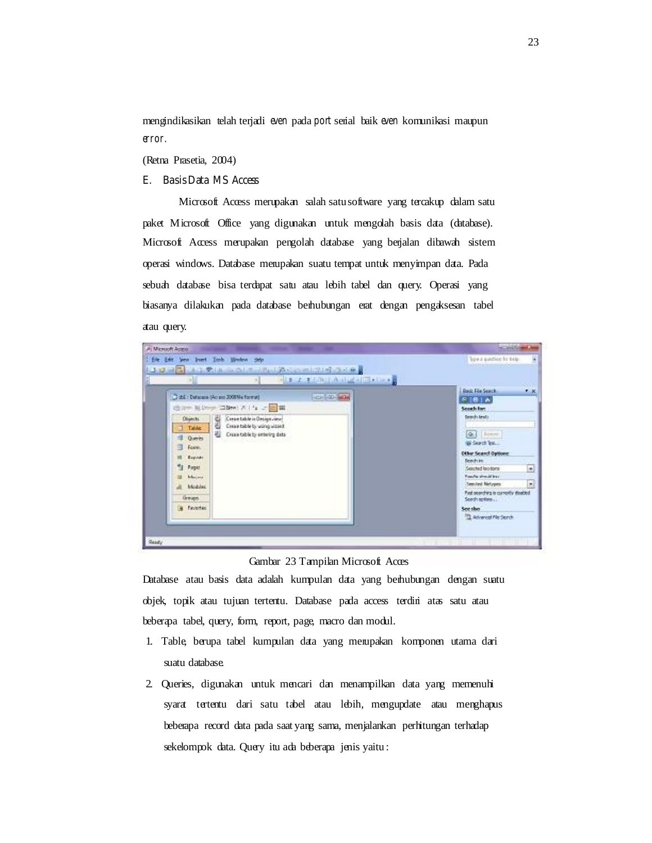mengindikasikan telah terjadi *even* pada *port* serial baik *even* komunikasi maupun *error.* 

(Retna Prasetia, 2004)

## **E. Basis Data MS Access**

Microsoft Access merupakan salah satu software yang tercakup dalam satu paket Microsoft Office yang digunakan untuk mengolah basis data (database). Microsoft Access merupakan pengolah database yang berjalan dibawah sistem operasi windows. Database merupakan suatu tempat untuk menyimpan data. Pada sebuah database bisa terdapat satu atau lebih tabel dan query. Operasi yang biasanya dilakukan pada database berhubungan erat dengan pengaksesan tabel atau query.

|                                                                                                      | 1.3 以前関係 2.3 受用 コロレイ 2.5 ml 3.5 ml 2.1 の 3.5 ml 3<br><b>Colla Patient Antichilities</b>                    |                                                                                                                                                           |
|------------------------------------------------------------------------------------------------------|------------------------------------------------------------------------------------------------------------|-----------------------------------------------------------------------------------------------------------------------------------------------------------|
|                                                                                                      | œ                                                                                                          | <b>Rask File Search</b><br>$x - x$                                                                                                                        |
|                                                                                                      | $-24.00 - 20$<br>Cidd.: Datasaux (As am 2008 No Format)                                                    | 8181A                                                                                                                                                     |
|                                                                                                      | 通用中 Nilleyer 国图( ) 2.1 fg 之国国                                                                              | Search for:                                                                                                                                               |
| Objects:<br>$\Box$ Table<br><b>Comment</b><br>Form:<br>≕<br>Espirato<br>"I Fage:<br>Mecas<br>Modulez | Crear table in Design view<br>a.<br>광<br>Creas table by using uitsed<br>崔<br>Crease table by entering data | <b>Deady lests</b><br>Q.I Islam<br>@ Search Tox<br>Other Search Gattone<br>Seedvin.<br>۰<br>Searted loo tone<br>Ranche should be a<br>Seeded Netwoes<br>۳ |
| Greups.<br><b>B</b> Favoriac                                                                         |                                                                                                            | Fed scending is currently dealed<br>Seath to first<br>See the<br>Advanced Pile Search                                                                     |

Gambar 23 Tampilan Microsoft Acces

Database atau basis data adalah kumpulan data yang berhubungan dengan suatu objek, topik atau tujuan tertentu. Database pada access terdiri atas satu atau beberapa tabel, query, form, report, page, macro dan modul.

- 1. Table, berupa tabel kumpulan data yang merupakan komponen utama dari suatu database.
- 2. Queries, digunakan untuk mencari dan menampilkan data yang memenuhi syarat tertentu dari satu tabel atau lebih, mengupdate atau menghapus beberapa record data pada saat yang sama, menjalankan perhitungan terhadap sekelompok data. Query itu ada beberapa jenis yaitu: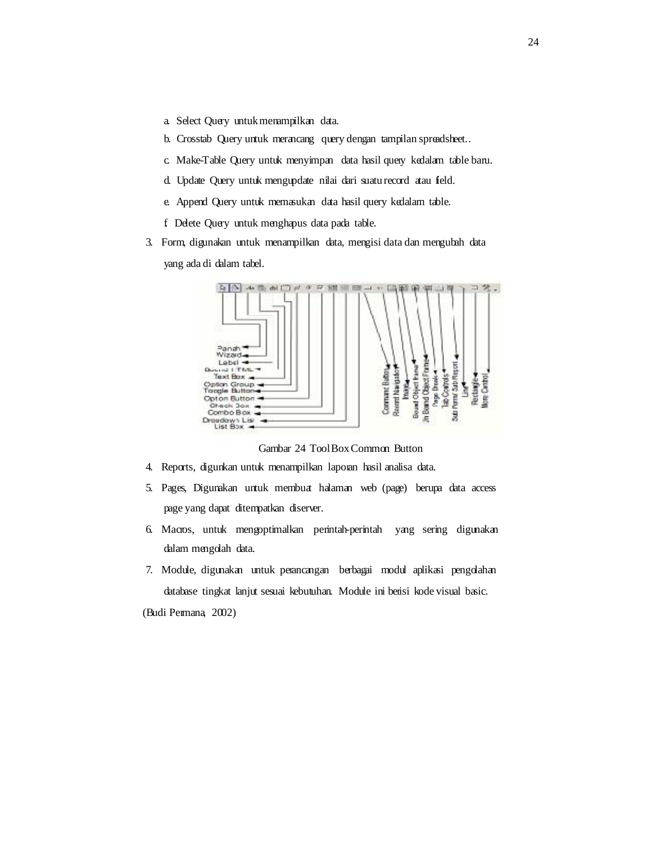- a. Select Query untuk menampilkan data.
- b. Crosstab Query untuk merancang query dengan tampilan spreadsheet..
- c. Make-Table Query untuk menyimpan data hasil query kedalam table baru.
- d. Update Query untuk mengupdate nilai dari suatu record atau field.
- e. Append Query untuk memasukan data hasil query kedalam table.
- f. Delete Query untuk menghapus data pada table.
- 3. Form, digunakan untuk menampilkan data, mengisi data dan mengubah data yang ada di dalam tabel.



Gambar 24 Tool Box Common Button

- 4. Reports, digunkan untuk menampilkan laporan hasil analisa data.
- 5. Pages, Digunakan untuk membuat halaman web (page) berupa data access page yang dapat ditempatkan diserver.
- 6. Macros, untuk mengoptimalkan perintah-perintah yang sering digunakan dalam mengolah data.
- 7. Module, digunakan untuk perancangan berbagai modul aplikasi pengolahan database tingkat lanjut sesuai kebutuhan. Module ini berisi kode visual basic.

(Budi Permana, 2002)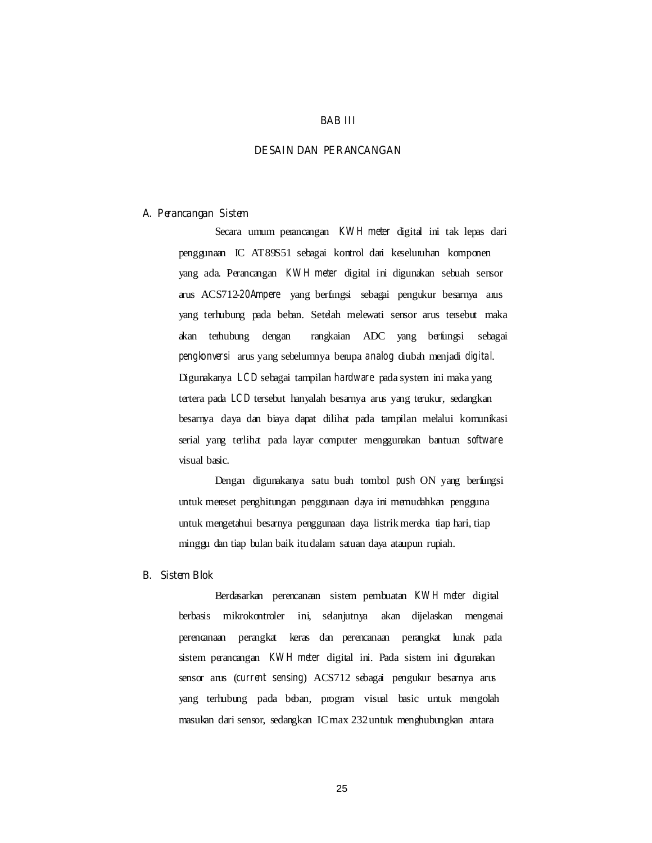#### **BAB III**

### **DESAIN DAN PERANCANGAN**

#### **A. Perancangan Sistem**

Secara umum perancangan *KW H meter* digital ini tak lepas dari penggunaan IC AT89S51 sebagai kontrol dari keseluruhan komponen yang ada. Perancangan *KW H meter* digital ini digunakan sebuah sensor arus ACS712-*20Ampere* yang berfungsi sebagai pengukur besarnya arus yang terhubung pada beban. Setelah melewati sensor arus tersebut maka akan terhubung dengan rangkaian ADC yang berfungsi sebagai *pengkonversi* arus yang sebelumnya berupa *analog* diubah menjadi *digital*. Digunakanya *LCD* sebagai tampilan *hardware* pada system ini maka yang tertera pada *LCD* tersebut hanyalah besarnya arus yang terukur, sedangkan besarnya daya dan biaya dapat dilihat pada tampilan melalui komunikasi serial yang terlihat pada layar computer menggunakan bantuan *software*  visual basic.

Dengan digunakanya satu buah tombol *push* ON yang berfungsi untuk mereset penghitungan penggunaan daya ini memudahkan pengguna untuk mengetahui besarnya penggunaan daya listrik mereka tiap hari, tiap minggu dan tiap bulan baik itu dalam satuan daya ataupun rupiah.

#### **B. Sistem Blok**

Berdasarkan perencanaan sistem pembuatan *KW H meter* digital berbasis mikrokontroler ini, selanjutnya akan dijelaskan mengenai perencanaan perangkat keras dan perencanaan perangkat lunak pada sistem perancangan *KW H meter* digital ini. Pada sistem ini digunakan sensor arus (*current sensing*) ACS712 sebagai pengukur besarnya arus yang terhubung pada beban, program visual basic untuk mengolah masukan dari sensor, sedangkan IC max 232 untuk menghubungkan antara

25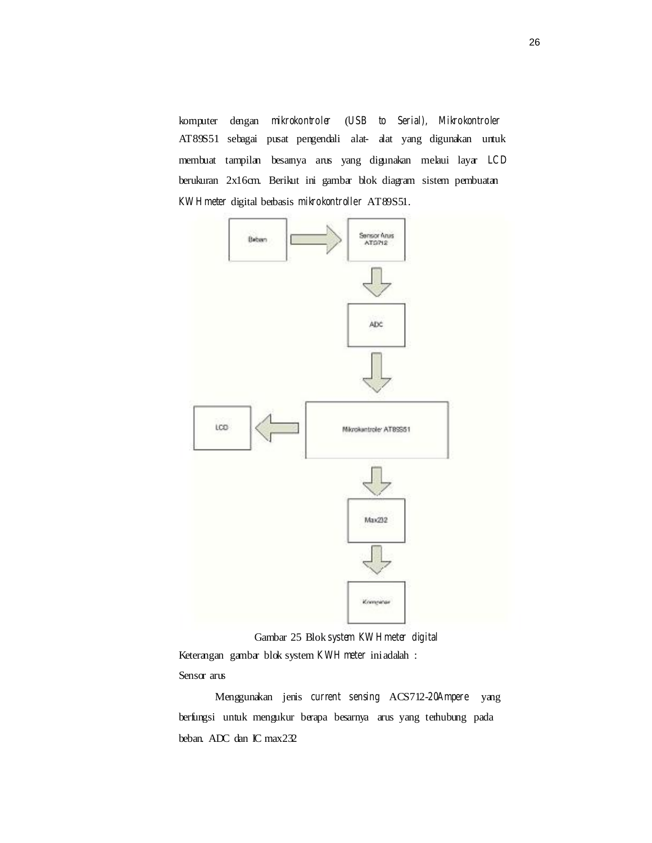komputer dengan *mikrokontroler* (*USB to Serial), Mikrokontroler*  AT89S51 sebagai pusat pengendali alat- alat yang digunakan untuk membuat tampilan besarnya arus yang digunakan melaui layar *LCD*  berukuran 2x16cm. Berikut ini gambar blok diagram sistem pembuatan *KW H meter* digital berbasis *mikrokontroller* AT89S51.



Gambar 25 Blok *system KW H meter digital*  Keterangan gambar blok system *KWH meter* ini adalah : Sensor arus

Menggunakan jenis *current sensing* ACS712-*20Ampere* yang berfungsi untuk mengukur berapa besarnya arus yang terhubung pada beban. ADC dan IC max232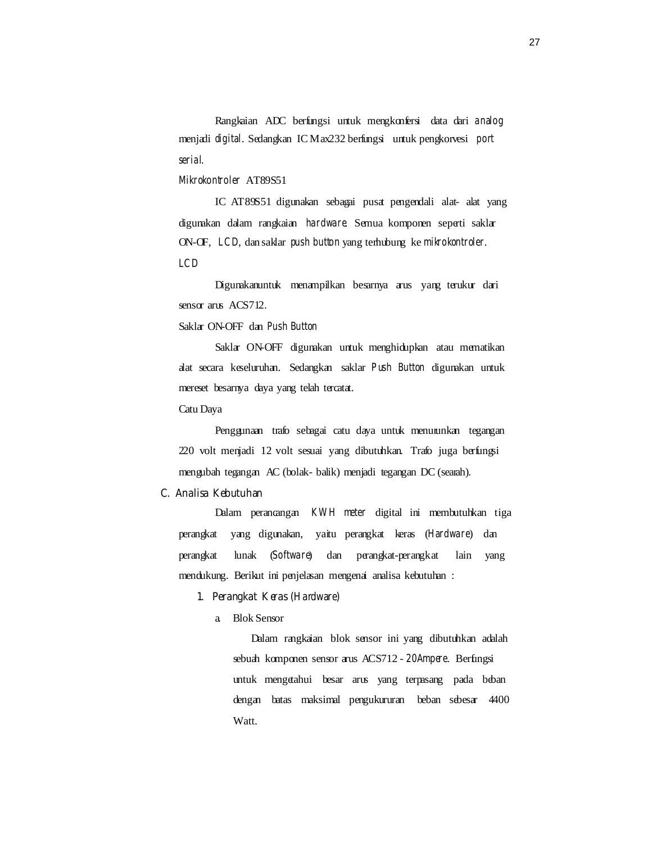Rangkaian ADC berfungsi untuk mengkonfersi data dari *analog*  menjadi *digital*. Sedangkan IC Max232 berfungsi untuk pengkorvesi *port serial*.

*Mikrokontroler* AT89S51

IC AT89S51 digunakan sebagai pusat pengendali alat- alat yang digunakan dalam rangkaian *hardware*. Semua komponen seperti saklar ON-OF, *LCD*, dan saklar *push button* yang terhubung ke *mikrokontroler*. *LCD* 

Digunakanuntuk menampilkan besarnya arus yang terukur dari sensor arus ACS712.

Saklar ON-OFF dan *Push Button* 

Saklar ON-OFF digunakan untuk menghidupkan atau mematikan alat secara keseluruhan. Sedangkan saklar *Push Button* digunakan untuk mereset besarnya daya yang telah tercatat.

Catu Daya

Penggunaan trafo sebagai catu daya untuk menurunkan tegangan 220 volt menjadi 12 volt sesuai yang dibutuhkan. Trafo juga berfungsi mengubah tegangan AC (bolak- balik) menjadi tegangan DC (searah).

## **C. Analisa Kebutuhan**

Dalam perancangan *KWH meter* digital ini membutuhkan tiga perangkat yang digunakan, yaitu perangkat keras (*Hardware*) dan perangkat lunak (*Software*) dan perangkat-perangkat lain yang mendukung. Berikut ini penjelasan mengenai analisa kebutuhan :

## **1. Perangkat Keras (***Hardware***)**

a. Blok Sensor

Dalam rangkaian blok sensor ini yang dibutuhkan adalah sebuah komponen sensor arus ACS712 - *20Ampere*. Berfungsi untuk mengetahui besar arus yang terpasang pada beban dengan batas maksimal pengukururan beban sebesar 4400 Watt.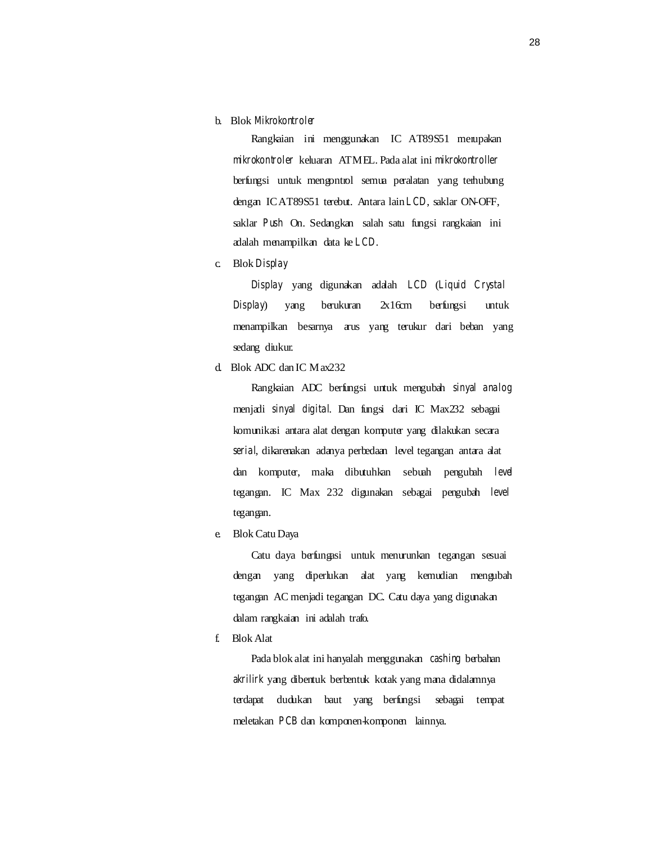b. Blok *Mikrokontroler* 

Rangkaian ini menggunakan IC AT89S51 merupakan *mikrokontroler* keluaran ATMEL. Pada alat ini *mikrokontroller*  berfungsi untuk mengontrol semua peralatan yang terhubung dengan IC AT89S51 terebut. Antara lain *LCD*, saklar ON-OFF, saklar *Push* On. Sedangkan salah satu fungsi rangkaian ini adalah menampilkan data ke *LCD*.

c. Blok *Display* 

*Display* yang digunakan adalah *LCD* (*Liquid Crystal Display*) yang berukuran 2x16cm berfungsi untuk menampilkan besarnya arus yang terukur dari beban yang sedang diukur.

d. Blok ADC dan IC Max232

Rangkaian ADC berfungsi untuk mengubah *sinyal analog*  menjadi *sinyal digital*. Dan fungsi dari IC Max232 sebagai komunikasi antara alat dengan komputer yang dilakukan secara *serial*, dikarenakan adanya perbedaan level tegangan antara alat dan komputer, maka dibutuhkan sebuah pengubah *level*  tegangan. IC Max 232 digunakan sebagai pengubah *level*  tegangan.

e. Blok Catu Daya

Catu daya berfungasi untuk menurunkan tegangan sesuai dengan yang diperlukan alat yang kemudian mengubah tegangan AC menjadi tegangan DC. Catu daya yang digunakan dalam rangkaian ini adalah trafo.

f. Blok Alat

Pada blok alat ini hanyalah menggunakan *cashing* berbahan *akrilirk* yang dibentuk berbentuk kotak yang mana didalamnya terdapat dudukan baut yang berfungsi sebagai tempat meletakan *PCB* dan komponen-komponen lainnya.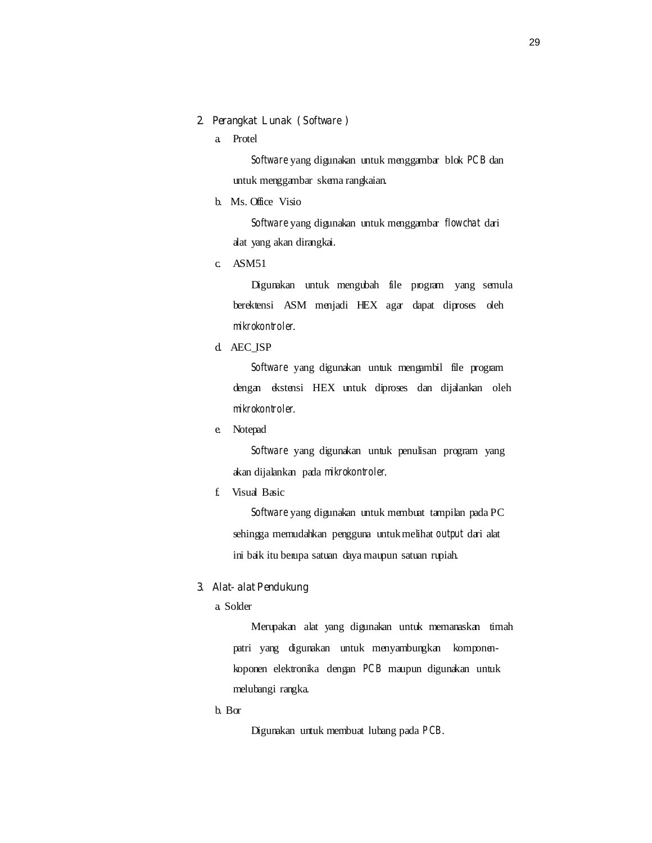#### **2. Perangkat Lunak (** *Software* **)**

a. Protel

*Software* yang digunakan untuk menggambar blok *PCB* dan untuk menggambar skema rangkaian.

b. Ms. Office Visio

*Software* yang digunakan untuk menggambar *flowchat* dari alat yang akan dirangkai.

c. ASM51

Digunakan untuk mengubah file program yang semula berektensi ASM menjadi HEX agar dapat diproses oleh *mikrokontroler*.

d. AEC\_ISP

*Software* yang digunakan untuk mengambil file program dengan ekstensi HEX untuk diproses dan dijalankan oleh *mikrokontroler*.

e. Notepad

*Software* yang digunakan untuk penulisan program yang akan dijalankan pada *mikrokontroler*.

f. Visual Basic

*Software* yang digunakan untuk membuat tampilan pada PC sehingga memudahkan pengguna untuk melihat *output* dari alat ini baik itu berupa satuan daya maupun satuan rupiah.

## **3. Alat- alat Pendukung**

a. Solder

Merupakan alat yang digunakan untuk memanaskan timah patri yang digunakan untuk menyambungkan komponenkoponen elektronika dengan *PCB* maupun digunakan untuk melubangi rangka.

b. Bor

Digunakan untuk membuat lubang pada *PCB*.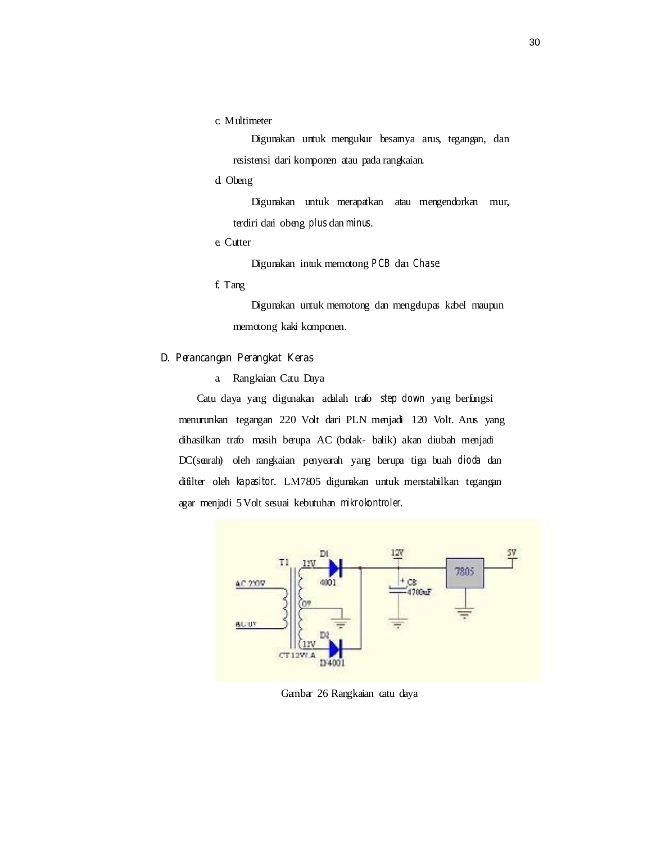c. Multimeter

Digunakan untuk mengukur besarnya arus, tegangan, dan resistensi dari komponen atau pada rangkaian.

d. Obeng

Digunakan untuk merapatkan atau mengendorkan mur, terdiri dari obeng *plus* dan *minus*.

e. Cutter

Digunakan intuk memotong *PCB* dan *Chase*.

f. Tang

Digunakan untuk memotong dan mengelupas kabel maupun memotong kaki komponen.

## **D. Perancangan Perangkat Keras**

a. Rangkaian Catu Daya

Catu daya yang digunakan adalah trafo *step down* yang berfungsi menurunkan tegangan 220 Volt dari PLN menjadi 120 Volt. Arus yang dihasilkan trafo masih berupa AC (bolak- balik) akan diubah menjadi DC(searah) oleh rangkaian penyearah yang berupa tiga buah *dioda* dan difilter oleh *kapasitor*. LM7805 digunakan untuk menstabilkan tegangan agar menjadi 5 Volt sesuai kebutuhan *mikrokontroler*.



Gambar 26 Rangkaian catu daya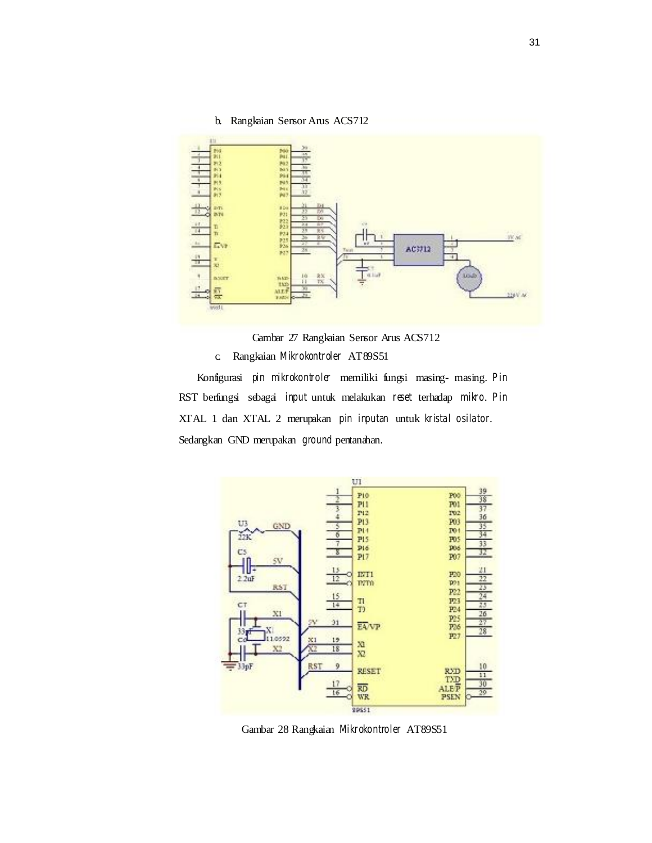

Gambar 27 Rangkaian Sensor Arus ACS712

c. Rangkaian *Mikrokontroler* AT89S51

Konfigurasi *pin mikrokontroler* memiliki fungsi masing- masing. *Pin*  RST berfungsi sebagai *input* untuk melakukan *reset* terhadap *mikro*. *Pin*  XTAL 1 dan XTAL 2 merupakan *pin inputan* untuk *kristal osilator*. Sedangkan GND merupakan *ground* pentanahan.



Gambar 28 Rangkaian *Mikrokontroler* AT89S51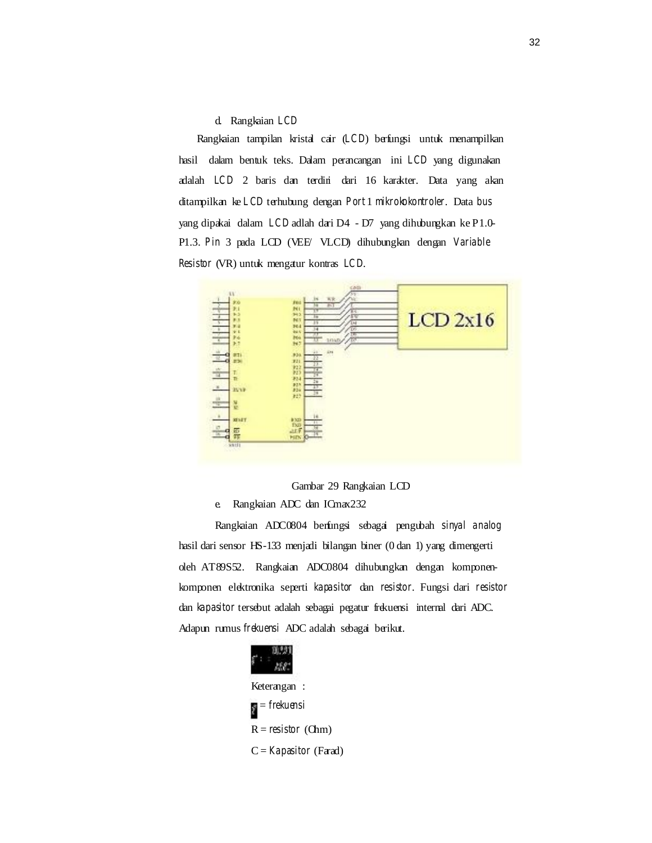d. Rangkaian *LCD* 

Rangkaian tampilan kristal cair (*LCD*) berfungsi untuk menampilkan hasil dalam bentuk teks. Dalam perancangan ini *LCD* yang digunakan adalah *LCD* 2 baris dan terdiri dari 16 karakter. Data yang akan ditampilkan ke *LCD* terhubung dengan *Port* 1 *mikrokokontroler*. Data *bus*  yang dipakai dalam *LCD* adlah dari D4 - D7 yang dihubungkan ke P1.0- P1.3. *Pin* 3 pada LCD (VEE/ VLCD) dihubungkan dengan *Variable Resistor* (VR) untuk mengatur kontras *LCD*.



Gambar 29 Rangkaian LCD

e. Rangkaian ADC dan ICmax232

Rangkaian ADC0804 berfungsi sebagai pengubah *sinyal analog*  hasil dari sensor HS-133 menjadi bilangan biner (0 dan 1) yang dimengerti oleh AT89S52. Rangkaian ADC0804 dihubungkan dengan komponenkomponen elektronika seperti *kapasitor* dan *resistor*. Fungsi dari *resistor*  dan *kapasitor* tersebut adalah sebagai pegatur frekuensi internal dari ADC. Adapun rumus *frekuensi* ADC adalah sebagai berikut.

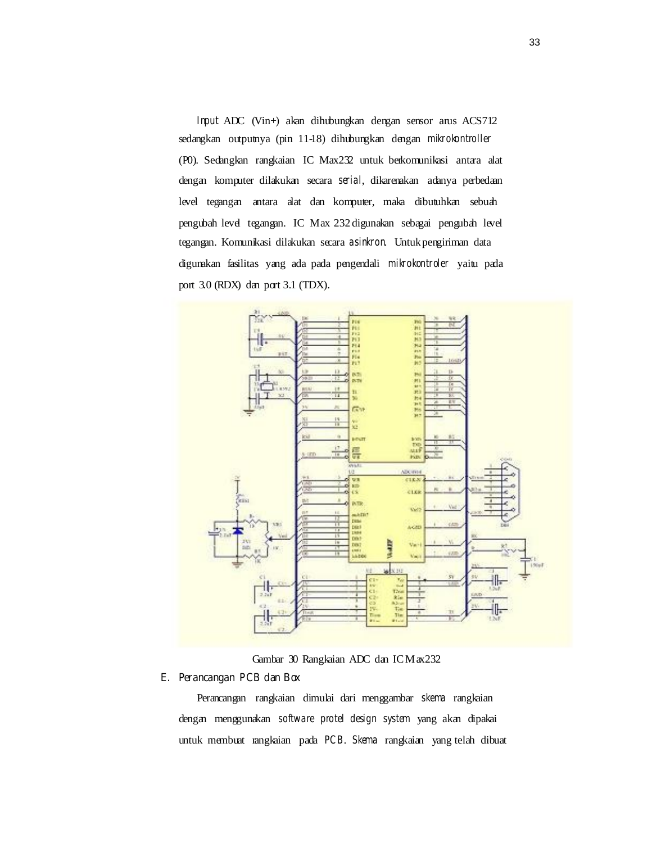*Input* ADC (Vin+) akan dihubungkan dengan sensor arus ACS712 sedangkan outputnya (pin 11-18) dihubungkan dengan *mikrokontroller*  (P0). Sedangkan rangkaian IC Max232 untuk berkomunikasi antara alat dengan komputer dilakukan secara *serial*, dikarenakan adanya perbedaan level tegangan antara alat dan komputer, maka dibutuhkan sebuah pengubah level tegangan. IC Max 232 digunakan sebagai pengubah level tegangan. Komunikasi dilakukan secara *asinkron*. Untuk pengiriman data digunakan fasilitas yang ada pada pengendali *mikrokontroler* yaitu pada port 3.0 (RDX) dan port 3.1 (TDX).



Gambar 30 Rangkaian ADC dan IC Max232

#### **E. Perancangan PCB dan Box**

Perancangan rangkaian dimulai dari menggambar *skema* rangkaian dengan menggunakan *software protel design system* yang akan dipakai untuk membuat rangkaian pada *PCB*. *Skema* rangkaian yang telah dibuat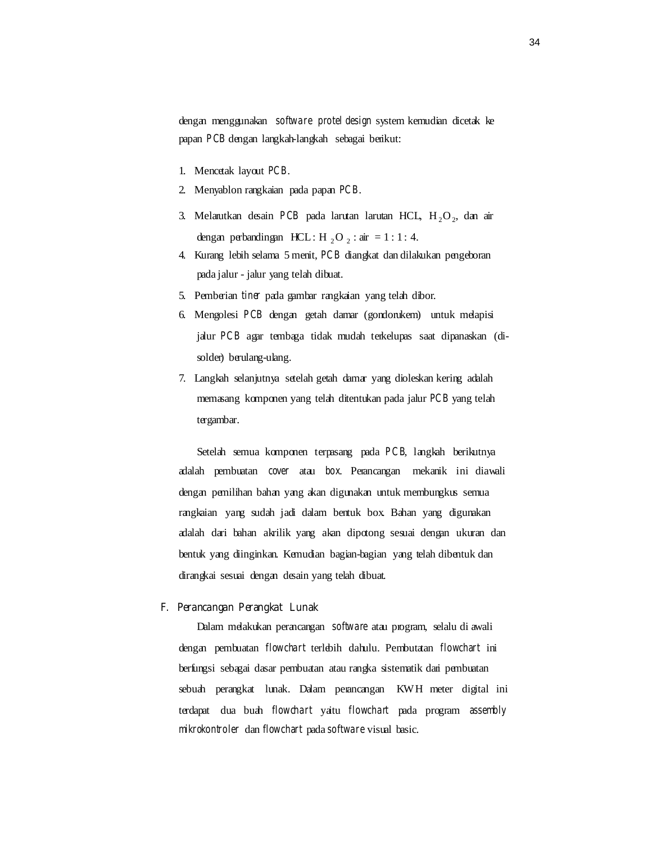dengan menggunakan *software protel design* system kemudian dicetak ke papan *PCB* dengan langkah-langkah sebagai berikut:

- 1. Mencetak layout *PCB*.
- 2. Menyablon rangkaian pada papan *PCB*.
- 3. Melanutkan desain *PCB* pada larutan larutan HCL, H<sub>2</sub>O<sub>2</sub>, dan air dengan perbandingan HCL : H, O, : air = 1 : 1 : 4.
- 4. Kurang lebih selama 5 menit, *PCB* diangkat dan dilakukan pengeboran pada jalur - jalur yang telah dibuat.
- 5. Pemberian *tiner* pada gambar rangkaian yang telah dibor.
- 6. Mengolesi *PCB* dengan getah damar (gondorukem) untuk melapisi jalur *PCB* agar tembaga tidak mudah terkelupas saat dipanaskan (disolder) berulang-ulang.
- 7. Langkah selanjutnya setelah getah damar yang dioleskan kering adalah memasang komponen yang telah ditentukan pada jalur *PCB* yang telah tergambar.

Setelah semua komponen terpasang pada *PCB*, langkah berikutnya adalah pembuatan *cover* atau *box*. Perancangan mekanik ini diawali dengan pemilihan bahan yang akan digunakan untuk membungkus semua rangkaian yang sudah jadi dalam bentuk box. Bahan yang digunakan adalah dari bahan akrilik yang akan dipotong sesuai dengan ukuran dan bentuk yang diinginkan. Kemudian bagian-bagian yang telah dibentuk dan dirangkai sesuai dengan desain yang telah dibuat.

#### **F. Perancangan Perangkat Lunak**

Dalam melakukan perancangan *software* atau program, selalu di awali dengan pembuatan *flowchart* terlebih dahulu. Pembutatan *flowchart* ini berfungsi sebagai dasar pembuatan atau rangka sistematik dari pembuatan sebuah perangkat lunak. Dalam perancangan KWH meter digital ini terdapat dua buah *flowchart* yaitu *flowchart* pada program *assembly mikrokontroler* dan *flowchart* pada *software* visual basic.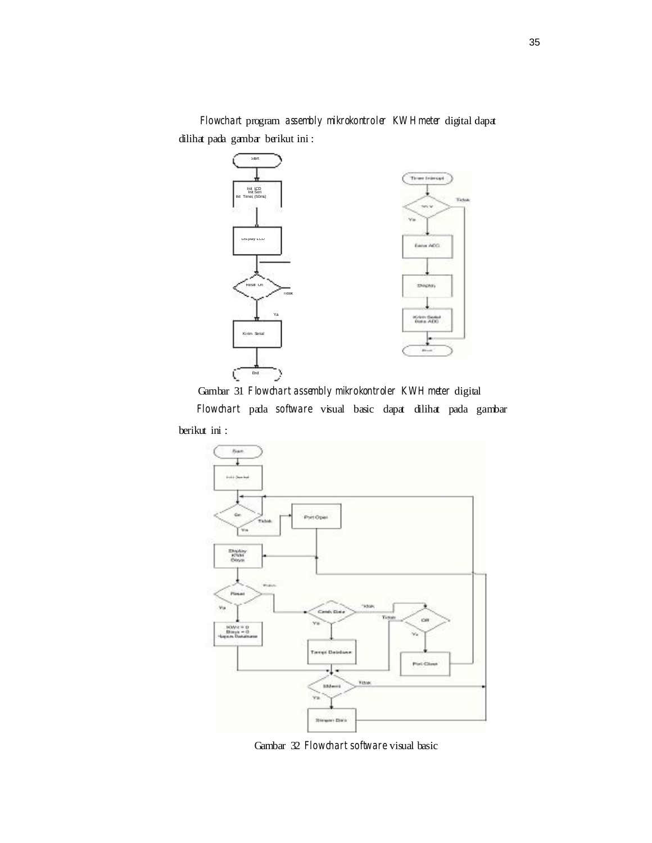*Flowchart* program *assembly mikrokontroler KW H meter* digital dapat dilihat pada gambar berikut ini :



Gambar 31 *Flowchart assembly mikrokontroler KWH meter* digital *Flowchart* pada *software* visual basic dapat dilihat pada gambar berikut ini :



Gambar 32 *Flowchart software* visual basic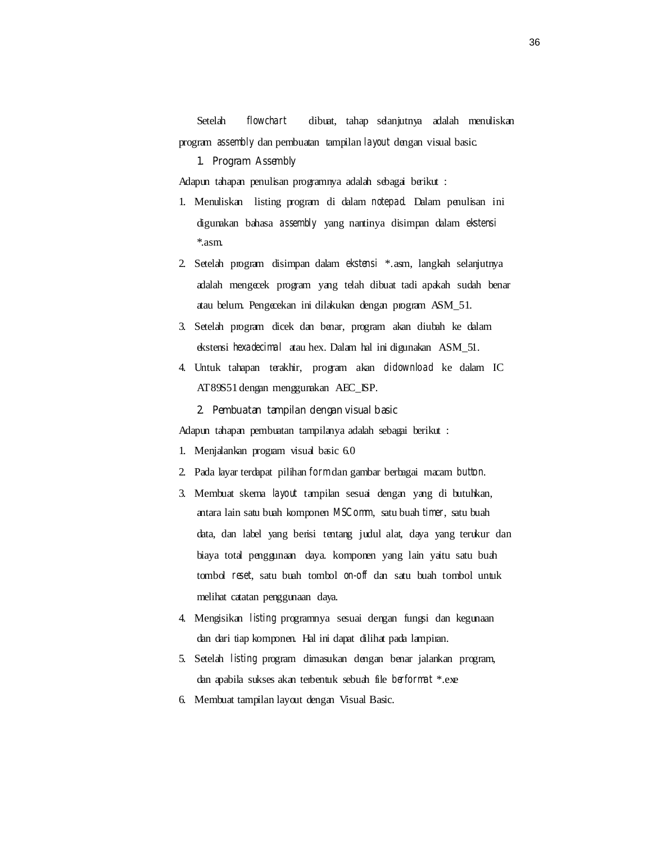Setelah *flowchart* dibuat, tahap selanjutnya adalah menuliskan program *assembly* dan pembuatan tampilan *layout* dengan visual basic.

#### **1. Program** *Assembly*

Adapun tahapan penulisan programnya adalah sebagai berikut :

- 1. Menuliskan listing program di dalam *notepad*. Dalam penulisan ini digunakan bahasa *assembly* yang nantinya disimpan dalam *ekstensi*  \*.asm.
- 2. Setelah program disimpan dalam *ekstensi* \*.asm, langkah selanjutnya adalah mengecek program yang telah dibuat tadi apakah sudah benar atau belum. Pengecekan ini dilakukan dengan program ASM\_51.
- 3. Setelah program dicek dan benar, program akan diubah ke dalam ekstensi *hexadecimal* atau hex. Dalam hal ini digunakan ASM\_51.
- 4. Untuk tahapan terakhir, program akan *didownload* ke dalam IC AT89S51 dengan menggunakan AEC\_ISP.

#### **2. Pembuatan tampilan dengan visual basic**

Adapun tahapan pembuatan tampilanya adalah sebagai berikut :

- 1. Menjalankan program visual basic 6.0
- 2. Pada layar terdapat pilihan *form* dan gambar berbagai macam *button*.
- 3. Membuat skema *layout* tampilan sesuai dengan yang di butuhkan, antara lain satu buah komponen *MSComm*, satu buah *timer*, satu buah data, dan label yang berisi tentang judul alat, daya yang terukur dan biaya total penggunaan daya. komponen yang lain yaitu satu buah tombol *reset*, satu buah tombol *on-off* dan satu buah tombol untuk melihat catatan penggunaan daya.
- 4. Mengisikan *listing* programnya sesuai dengan fungsi dan kegunaan dan dari tiap komponen. Hal ini dapat dilihat pada lampiran.
- 5. Setelah *listing* program dimasukan dengan benar jalankan program, dan apabila sukses akan terbentuk sebuah file *berformat* \*.exe
- 6. Membuat tampilan layout dengan Visual Basic.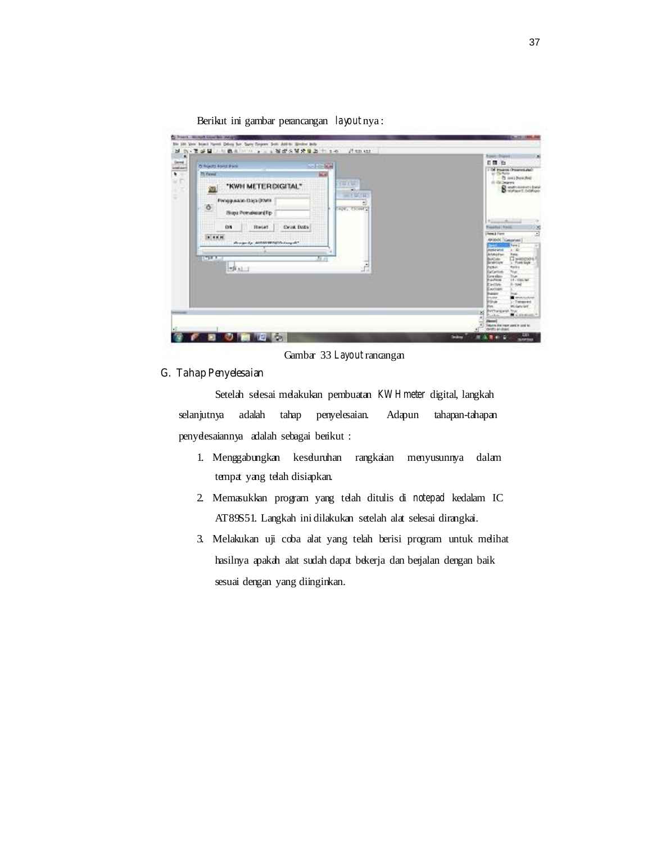

Berikut ini gambar perancangan *layout* nya :

Gambar 33 *Layout*rancangan

## **G. Tahap Penyelesaian**

Setelah selesai melakukan pembuatan KW H meter digital, langkah selanjutnya adalah tahap penyelesaian. Adapun tahapan-tahapan penyelesaiannya adalah sebagai berikut :

- 1. Menggabungkan keseluruhan rangkaian menyusunnya dalam tempat yang telah disiapkan.
- 2. Memasukkan program yang telah ditulis di *notepad* kedalam IC AT89S51. Langkah ini dilakukan setelah alat selesai dirangkai.
- 3. Melakukan uji coba alat yang telah berisi program untuk melihat hasilnya apakah alat sudah dapat bekerja dan berjalan dengan baik sesuai dengan yang diinginkan.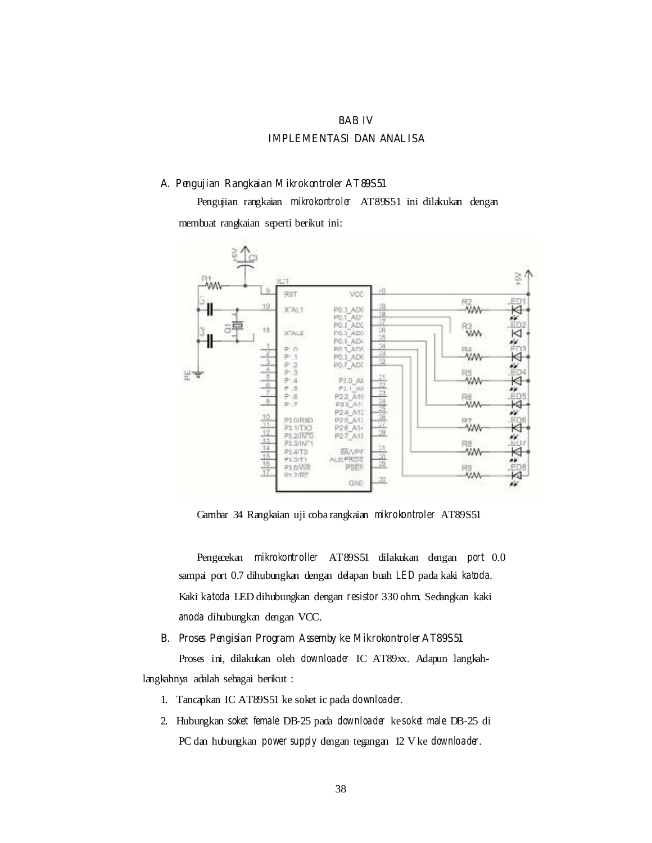#### **BAB IV**

## **IMPLEMENTASI DAN ANALISA**

#### **A. Pengujian Rangkaian** *Mikrokontroler* **AT89S51**

Pengujian rangkaian *mikrokontroler* AT89S51 ini dilakukan dengan membuat rangkaian seperti berikut ini:



Gambar 34 Rangkaian uji coba rangkaian *mikrokontroler* AT89S51

Pengecekan *mikrokontroller* AT89S51 dilakukan dengan *port* 0.0 sampai port 0.7 dihubungkan dengan delapan buah *LED* pada kaki *katoda*. Kaki k*atoda* LED dihubungkan dengan *resistor* 330 ohm. Sedangkan kaki *anoda* dihubungkan dengan VCC.

#### **B. Proses Pengisian Program** *Assemby* **ke** *Mikrokontroler* **AT89S51**

Proses ini, dilakukan oleh *downloader* IC AT89xx. Adapun langkahlangkahnya adalah sebagai berikut :

- 1. Tancapkan IC AT89S51 ke soket ic pada *downloader*.
- 2. Hubungkan *soket female* DB-25 pada *downloader* ke *soket male* DB-25 di PC dan hubungkan *power supply* dengan tegangan 12 V ke *downloader*.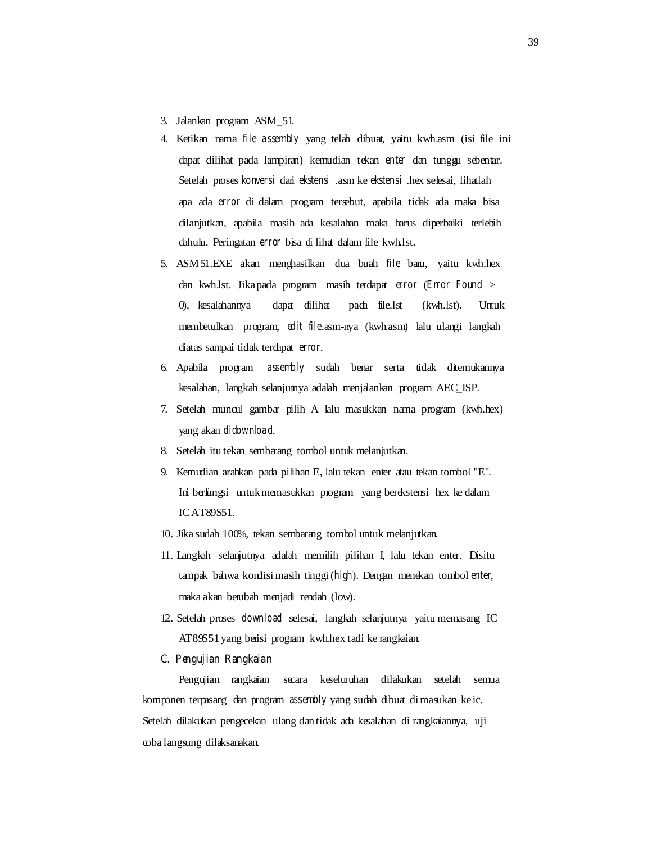- 3. Jalankan program ASM\_51.
- 4. Ketikan nama *file assembly* yang telah dibuat, yaitu kwh.asm (isi file ini dapat dilihat pada lampiran) kemudian tekan *enter* dan tunggu sebentar. Setelah proses *konversi* dari *ekstensi* .asm ke *ekstensi* .hex selesai, lihatlah apa ada *error* di dalam program tersebut, apabila tidak ada maka bisa dilanjutkan, apabila masih ada kesalahan maka harus diperbaiki terlebih dahulu. Peringatan *error* bisa di lihat dalam file kwh.lst.
- 5. ASM51.EXE akan menghasilkan dua buah *file* baru, yaitu kwh.hex dan kwh.lst. Jika pada program masih terdapat *error* (*Error Found* > 0), kesalahannya dapat dilihat pada file.lst (kwh.lst). Untuk membetulkan program, *edit file*.asm-nya (kwh.asm) lalu ulangi langkah diatas sampai tidak terdapat *error*.
- 6. Apabila program *assembly* sudah benar serta tidak ditemukannya kesalahan, langkah selanjutnya adalah menjalankan program AEC\_ISP.
- 7. Setelah muncul gambar pilih A lalu masukkan nama program (kwh.hex) yang akan *didownload*.
- 8. Setelah itu tekan sembarang tombol untuk melanjutkan.
- 9. Kemudian arahkan pada pilihan E, lalu tekan enter atau tekan tombol "E". Ini berfungsi untuk memasukkan program yang berekstensi hex ke dalam IC AT89S51.
- 10. Jika sudah 100%, tekan sembarang tombol untuk melanjutkan.
- 11. Langkah selanjutnya adalah memilih pilihan I, lalu tekan enter. Disitu tampak bahwa kondisi masih tinggi (*high*). Dengan menekan tombol *enter*, maka akan berubah menjadi rendah (low).
- 12. Setelah proses *download* selesai, langkah selanjutnya yaitu memasang IC AT89S51 yang berisi program kwh.hex tadi ke rangkaian.

#### **C. Pengujian Rangkaian**

Pengujian rangkaian secara keseluruhan dilakukan setelah semua komponen terpasang dan program *assembly* yang sudah dibuat di masukan ke ic. Setelah dilakukan pengecekan ulang dan tidak ada kesalahan di rangkaiannya, uji coba langsung dilaksanakan.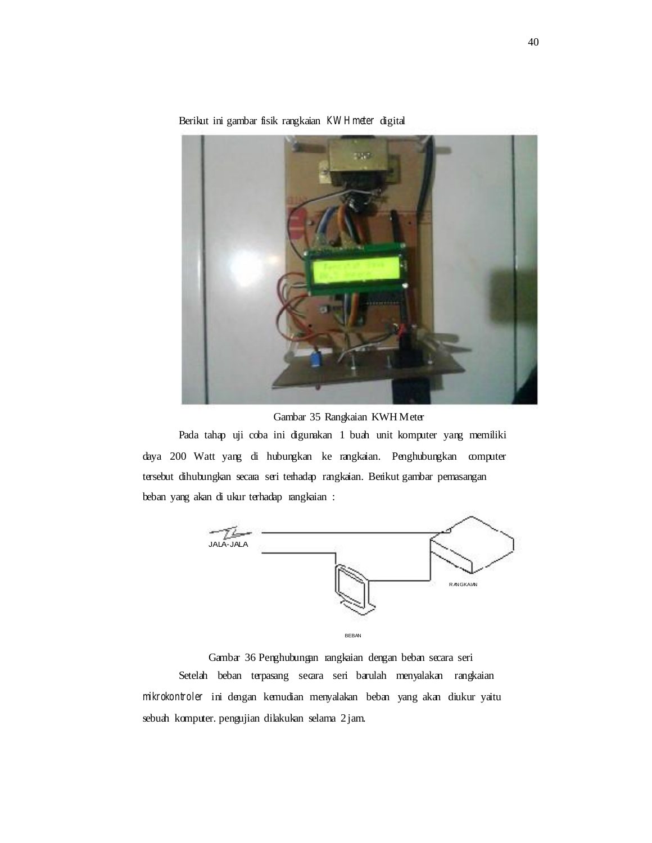Berikut ini gambar fisik rangkaian **KW H meter** digital



Gambar 35 Rangkaian KWH Meter

Pada tahap uji coba ini digunakan 1 buah unit komputer yang memiliki daya 200 Watt yang di hubungkan ke rangkaian. Penghubungkan computer tersebut dihubungkan secara seri terhadap rangkaian. Berikut gambar pemasangan beban yang akan di ukur terhadap rangkaian :



Gambar 36 Penghubungan rangkaian dengan beban secara seri Setelah beban terpasang secara seri barulah menyalakan rangkaian *mikrokontroler* ini dengan kemudian menyalakan beban yang akan diukur yaitu sebuah komputer. pengujian dilakukan selama 2 jam.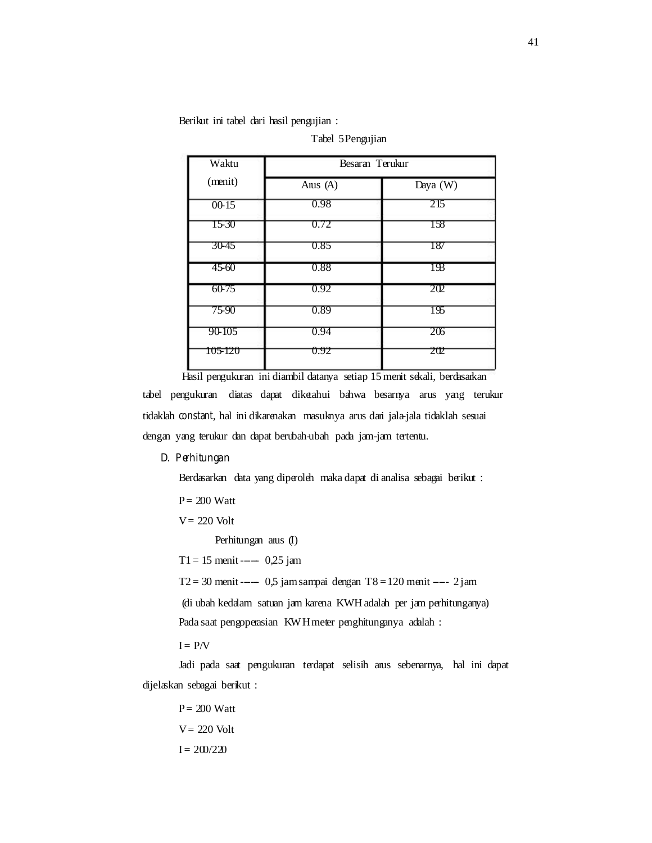Berikut ini tabel dari hasil pengujian :

| Waktu   | Besaran Terukur |            |
|---------|-----------------|------------|
|         |                 |            |
| (menit) | Anis (A)        | Daya $(W)$ |
| $00-15$ | 0.98            | 215        |
| 15-30   | 0.72            | 158        |
| 30-45   | 0.85            | 187        |
| 45-60   | 0.88            | 193        |
| 60-75   | 0.92            | 202        |
| 75-90   | 0.89            | 195        |
| 90-105  | 0.94            | 206        |
| 105-120 | 0.92            | 202        |

Tabel 5 Pengujian

Hasil pengukuran ini diambil datanya setiap 15 menit sekali, berdasarkan tabel pengukuran diatas dapat diketahui bahwa besarnya arus yang terukur tidaklah *constant*, hal ini dikarenakan masuknya arus dari jala-jala tidaklah sesuai dengan yang terukur dan dapat berubah-ubah pada jam-jam tertentu.

#### **D. Perhitungan**

Berdasarkan data yang diperoleh maka dapat di analisa sebagai berikut :

 $P = 200$  Watt

 $V = 220$  Volt

Perhitungan arus (I)

 $T1 = 15$  menit ---- 0,25 jam

 $T2 = 30$  menit ----- 0,5 jam sampai dengan T8 = 120 menit ---- 2 jam

(di ubah kedalam satuan jam karena KWH adalah per jam perhitunganya)

Pada saat pengoperasian KWH meter penghitunganya adalah :

 $I = P/V$ 

Jadi pada saat pengukuran terdapat selisih arus sebenarnya, hal ini dapat dijelaskan sebagai berikut :

 $P = 200$  Watt

 $V = 220$  Volt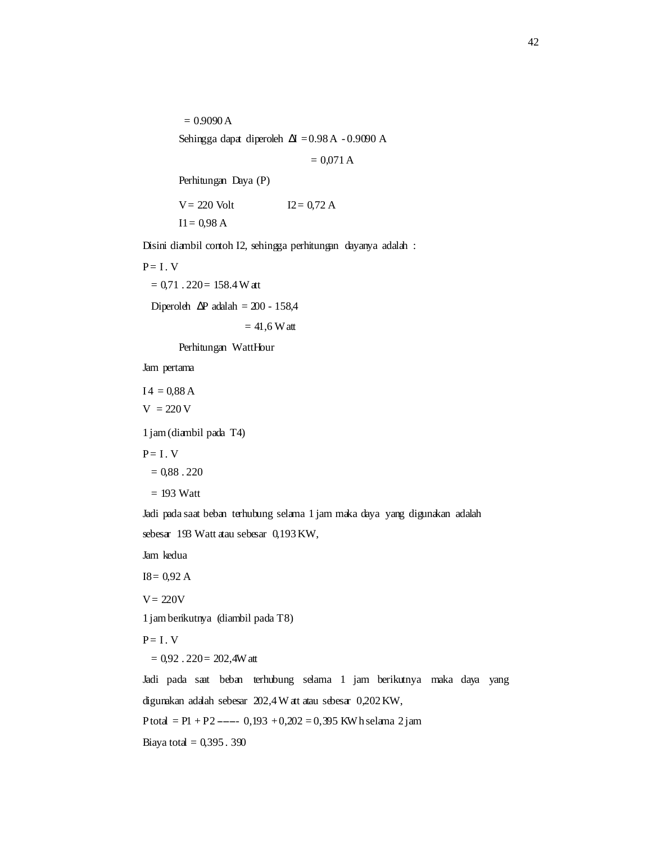$= 0.9090 A$ Sehingga dapat diperoleh  $\Delta I = 0.98$  A - 0.9090 A

 $= 0.071 A$ 

Perhitungan Daya (P)

 $V = 220$  Volt  $I2 = 0.72 A$ 

 $I1 = 0.98 A$ 

Disini diambil contoh I2, sehingga perhitungan dayanya adalah :

 $P = I. V$  $= 0.71$ . 220 = 158.4 W att

Diperoleh  $\Delta P$  adalah = 200 - 158,4

 $= 41.6 W$  att

Perhitungan WattHour

Jam pertama

 $I4 = 0,88 A$  $V = 220 V$ 

1 jam (diambil pada T4)

 $P = I \cdot V$ 

 $= 0.88$ . 220

 $= 193$  Watt

Jadi pada saat beban terhubung selama 1 jam maka daya yang digunakan adalah sebesar 193 Watt atau sebesar 0,193 KW,

Jam kedua

 $I8 = 0,92 A$ 

 $V = 220V$ 

1 jam berikutnya (diambil pada T8)

 $P = I. V$ 

 $= 0.92$ .  $220 = 202,4W$  att

Jadi pada saat beban terhubung selama 1 jam berikutnya maka daya yang digunakan adalah sebesar 202,4 W att atau sebesar 0,202 KW, P total = P1 + P2 ----- 0,193 + 0,202 = 0,395 KWh selama 2 jam Biaya total =  $0,395.390$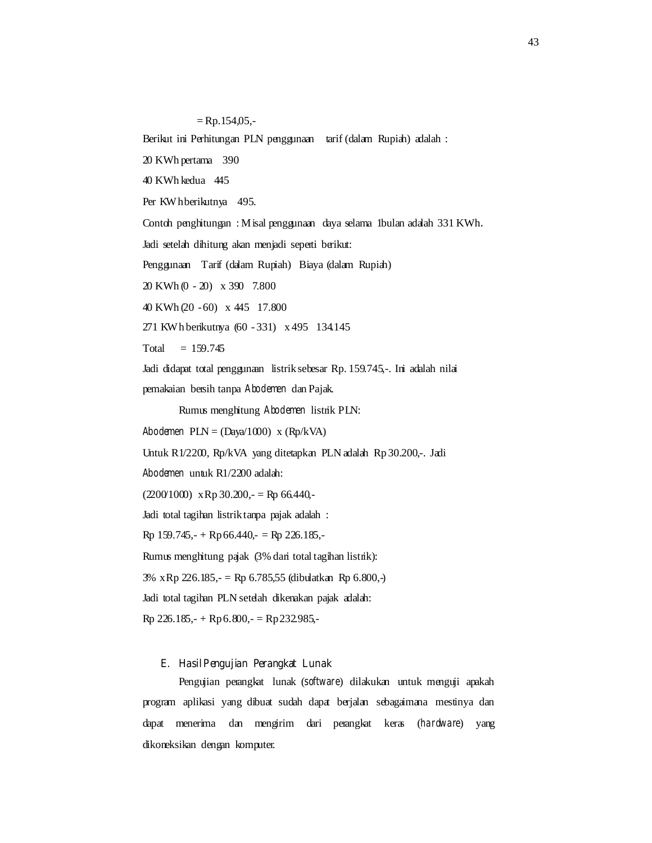$=$  Rp.154,05,-Berikut ini Perhitungan PLN penggunaan tarif (dalam Rupiah) adalah : 20 KWh pertama 390 40 KWh kedua 445 Per KW h berikutnya 495. Contoh penghitungan : Misal penggunaan daya selama 1bulan adalah 331 KWh. Jadi setelah dihitung akan menjadi seperti berikut: Penggunaan Tarif (dalam Rupiah) Biaya (dalam Rupiah) 20 KWh (0 - 20) x 390 7.800 40 KWh (20 - 60) x 445 17.800 271 KWh berikutnya (60 - 331) x 495 134.145  $Total = 159.745$ Jadi didapat total penggunaan listrik sebesar Rp. 159.745,-. Ini adalah nilai pemakaian bersih tanpa *Abodemen* dan Pajak. Rumus menghitung *Abodemen* listrik PLN:

*Abodemen* PLN = (Daya/1000) x (Rp/kVA)

Untuk R1/2200, Rp/kVA yang ditetapkan PLN adalah Rp 30.200,-. Jadi

*Abodemen* untuk R1/2200 adalah:

 $(200/100)$  x Rp 30.200, - = Rp 66.440, -

Jadi total tagihan listrik tanpa pajak adalah :

 $Rp 159.745,-+Rp 66.440,-=Rp 226.185,-$ 

Rumus menghitung pajak (3% dari total tagihan listrik):

3% x Rp 226.185,- = Rp 6.785,55 (dibulatkan Rp 6.800,-)

Jadi total tagihan PLN setelah dikenakan pajak adalah:

 $Rp$  226.185,- + Rp 6.800,- = Rp 232.985,-

## **E. Hasil Pengujian Perangkat Lunak**

Pengujian perangkat lunak (*software*) dilakukan untuk menguji apakah program aplikasi yang dibuat sudah dapat berjalan sebagaimana mestinya dan dapat menerima dan mengirim dari perangkat keras (*hardware*) yang dikoneksikan dengan komputer.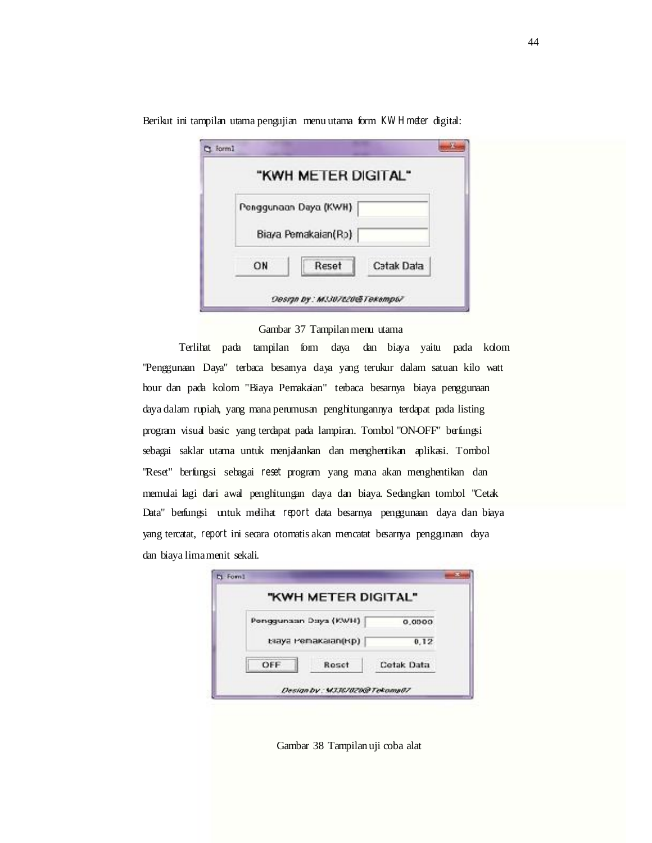|    | "KWH METER DIGITAL"   |            |
|----|-----------------------|------------|
|    | Penggunaan Daya (KWH) |            |
|    | Biaya Pemakaian(Ro)   |            |
| ON | Reset                 | Catak Data |

Berikut ini tampilan utama pengujian menu utama form *KW H meter* digital:

#### Gambar 37 Tampilan menu utama

Terlihat pada tampilan form daya dan biaya yaitu pada kolom "Penggunaan Daya" terbaca besarnya daya yang terukur dalam satuan kilo watt hour dan pada kolom "Biaya Pemakaian" terbaca besarnya biaya penggunaan daya dalam rupiah, yang mana perumusan penghitungannya terdapat pada listing program visual basic yang terdapat pada lampiran. Tombol "ON-OFF" berfungsi sebagai saklar utama untuk menjalankan dan menghentikan aplikasi. Tombol "Reset" berfungsi sebagai *reset* program yang mana akan menghentikan dan memulai lagi dari awal penghitungan daya dan biaya. Sedangkan tombol "Cetak Data" berfungsi untuk melihat *report* data besarnya penggunaan daya dan biaya yang tercatat, *report* ini secara otomatis akan mencatat besarnya penggunaan daya dan biaya lima menit sekali.

|     | "KWH METER DIGITAL"   |            |
|-----|-----------------------|------------|
|     | Ponggunaan Days (KWH) | 0,0000     |
|     | tsaya Pemakalan(Rp)   | 0,12.      |
| OFF | Reset                 | Cetak Data |

Gambar 38 Tampilan uji coba alat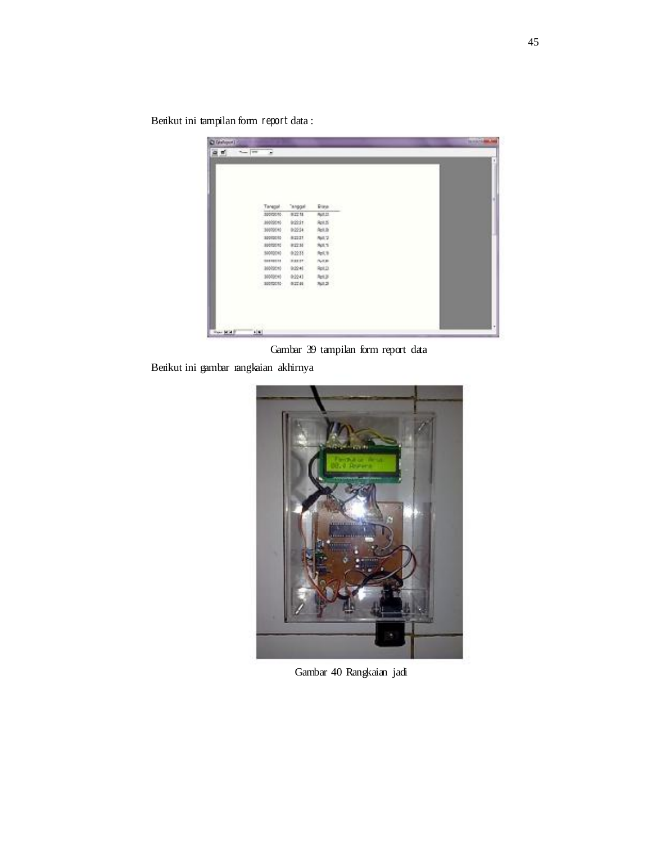Berikut ini tampilan form *report* data :

| Taragol -<br>"anggal<br>Page 1           |  |
|------------------------------------------|--|
|                                          |  |
|                                          |  |
|                                          |  |
| 30000010<br>92218<br>Aut.tt              |  |
| 3900046<br><b>INSIDE</b><br><b>Apt 5</b> |  |
| 3000040<br>9:22:34<br>Asi.it             |  |
| 84.2<br>0.22.27<br>32010010              |  |
| Spt.1<br>10092010<br>9:22.35             |  |
| 5000000<br>参加料<br>84.9                   |  |
| <b>BARRY</b><br>Note:<br>100310118       |  |
| 3600016<br>0:224<br>Rpt.D.               |  |
| 1000010<br>0:2243<br>Apt.3               |  |
| 30012010<br>0.22141<br>761,2             |  |

Gambar 39 tampilan form report data

Berikut ini gambar rangkaian akhirnya



Gambar 40 Rangkaian jadi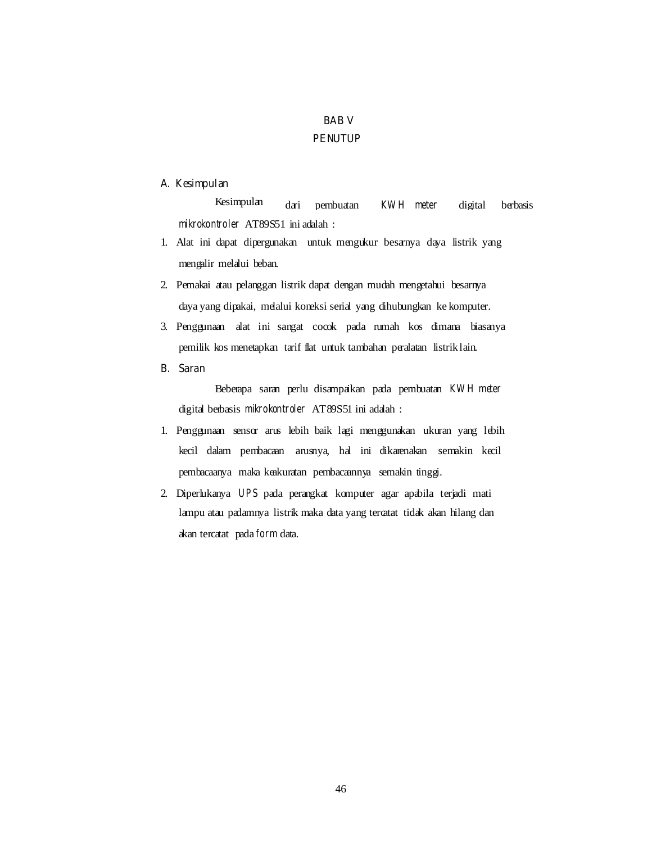# **BAB V PENUTUP**

## **A. Kesimpulan**

Kesimpulan dari pembuatan *KWH meter* digital berbasis *mikrokontroler* AT89S51 ini adalah :

- 1. Alat ini dapat dipergunakan untuk mengukur besarnya daya listrik yang mengalir melalui beban.
- 2. Pemakai atau pelanggan listrik dapat dengan mudah mengetahui besarnya daya yang dipakai, melalui koneksi serial yang dihubungkan ke komputer.
- 3. Penggunaan alat ini sangat cocok pada rumah kos dimana biasanya pemilik kos menetapkan tarif flat untuk tambahan peralatan listrik lain.
- **B. Saran**

Beberapa saran perlu disampaikan pada pembuatan *KW H meter*  digital berbasis *mikrokontroler* AT89S51 ini adalah :

- 1. Penggunaan sensor arus lebih baik lagi menggunakan ukuran yang lebih kecil dalam pembacaan arusnya, hal ini dikarenakan semakin kecil pembacaanya maka keakuratan pembacaannya semakin tinggi.
- 2. Diperlukanya *UPS* pada perangkat komputer agar apabila terjadi mati lampu atau padamnya listrik maka data yang tercatat tidak akan hilang dan akan tercatat pada *form* data.